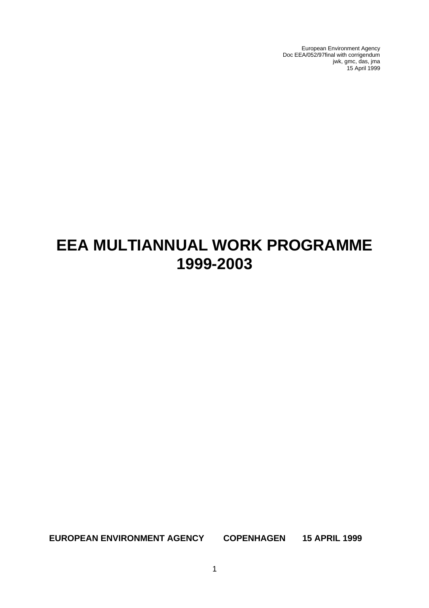European Environment Agency Doc EEA/052/97final with corrigendum jwk, gmc, das, jma 15 April 1999

# **EEA MULTIANNUAL WORK PROGRAMME 1999-2003**

**EUROPEAN ENVIRONMENT AGENCY COPENHAGEN 15 APRIL 1999**

1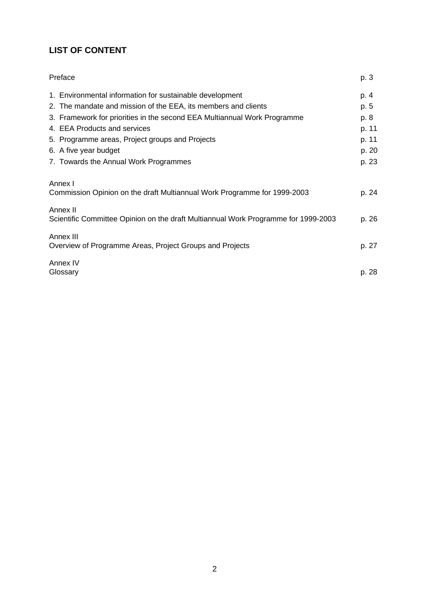# **LIST OF CONTENT**

| Preface                                                                                        | p. 3  |
|------------------------------------------------------------------------------------------------|-------|
| 1. Environmental information for sustainable development                                       | p. 4  |
| 2. The mandate and mission of the EEA, its members and clients                                 | p. 5  |
| 3. Framework for priorities in the second EEA Multiannual Work Programme                       | p. 8  |
| 4. EEA Products and services                                                                   | p. 11 |
| 5. Programme areas, Project groups and Projects                                                | p. 11 |
| 6. A five year budget                                                                          | p. 20 |
| 7. Towards the Annual Work Programmes                                                          | p. 23 |
| Annex I<br>Commission Opinion on the draft Multiannual Work Programme for 1999-2003            | p. 24 |
| Annex II<br>Scientific Committee Opinion on the draft Multiannual Work Programme for 1999-2003 | p. 26 |
| Annex III<br>Overview of Programme Areas, Project Groups and Projects                          | p. 27 |
| Annex IV<br>Glossary                                                                           | p. 28 |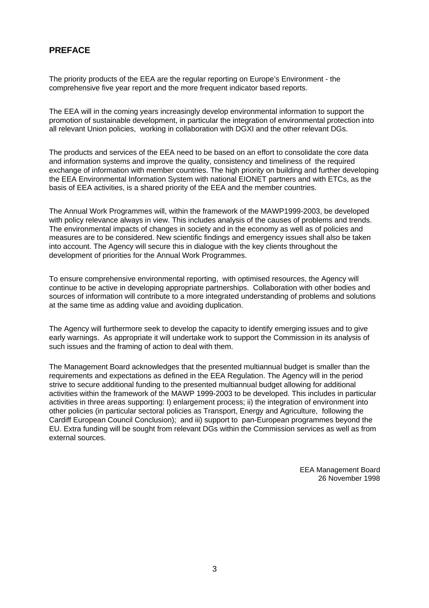# **PREFACE**

The priority products of the EEA are the regular reporting on Europe's Environment - the comprehensive five year report and the more frequent indicator based reports.

The EEA will in the coming years increasingly develop environmental information to support the promotion of sustainable development, in particular the integration of environmental protection into all relevant Union policies, working in collaboration with DGXI and the other relevant DGs.

The products and services of the EEA need to be based on an effort to consolidate the core data and information systems and improve the quality, consistency and timeliness of the required exchange of information with member countries. The high priority on building and further developing the EEA Environmental Information System with national EIONET partners and with ETCs, as the basis of EEA activities, is a shared priority of the EEA and the member countries.

The Annual Work Programmes will, within the framework of the MAWP1999-2003, be developed with policy relevance always in view. This includes analysis of the causes of problems and trends. The environmental impacts of changes in society and in the economy as well as of policies and measures are to be considered. New scientific findings and emergency issues shall also be taken into account. The Agency will secure this in dialogue with the key clients throughout the development of priorities for the Annual Work Programmes.

To ensure comprehensive environmental reporting, with optimised resources, the Agency will continue to be active in developing appropriate partnerships. Collaboration with other bodies and sources of information will contribute to a more integrated understanding of problems and solutions at the same time as adding value and avoiding duplication.

The Agency will furthermore seek to develop the capacity to identify emerging issues and to give early warnings. As appropriate it will undertake work to support the Commission in its analysis of such issues and the framing of action to deal with them.

The Management Board acknowledges that the presented multiannual budget is smaller than the requirements and expectations as defined in the EEA Regulation. The Agency will in the period strive to secure additional funding to the presented multiannual budget allowing for additional activities within the framework of the MAWP 1999-2003 to be developed. This includes in particular activities in three areas supporting: I) enlargement process; ii) the integration of environment into other policies (in particular sectoral policies as Transport, Energy and Agriculture, following the Cardiff European Council Conclusion); and iii) support to pan-European programmes beyond the EU. Extra funding will be sought from relevant DGs within the Commission services as well as from external sources.

> EEA Management Board 26 November 1998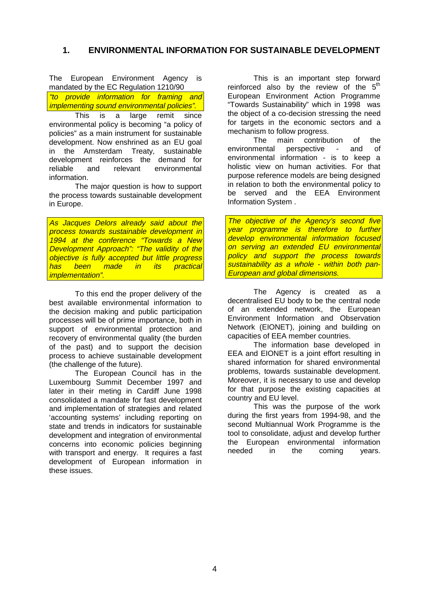# **1. ENVIRONMENTAL INFORMATION FOR SUSTAINABLE DEVELOPMENT**

The European Environment Agency is mandated by the EC Regulation 1210/90

"to provide information for framing and implementing sound environmental policies".

This is a large remit since environmental policy is becoming "a policy of policies" as a main instrument for sustainable development. Now enshrined as an EU goal in the Amsterdam Treaty, sustainable development reinforces the demand for reliable and relevant environmental information.

The major question is how to support the process towards sustainable development in Europe.

As Jacques Delors already said about the process towards sustainable development in 1994 at the conference "Towards a New Development Approach": "The validity of the objective is fully accepted but little progress has been made in its practical implementation".

To this end the proper delivery of the best available environmental information to the decision making and public participation processes will be of prime importance, both in support of environmental protection and recovery of environmental quality (the burden of the past) and to support the decision process to achieve sustainable development (the challenge of the future).

The European Council has in the Luxembourg Summit December 1997 and later in their meting in Cardiff June 1998 consolidated a mandate for fast development and implementation of strategies and related 'accounting systems' including reporting on state and trends in indicators for sustainable development and integration of environmental concerns into economic policies beginning with transport and energy. It requires a fast development of European information in these issues.

This is an important step forward reinforced also by the review of the  $5<sup>th</sup>$ European Environment Action Programme "Towards Sustainability" which in 1998 was the object of a co-decision stressing the need for targets in the economic sectors and a mechanism to follow progress.

The main contribution of the environmental perspective - and of environmental information - is to keep a holistic view on human activities. For that purpose reference models are being designed in relation to both the environmental policy to be served and the EEA Environment Information System .

The objective of the Agency's second five year programme is therefore to further develop environmental information focused on serving an extended EU environmental policy and support the process towards sustainability as a whole - within both pan-European and global dimensions.

The Agency is created as a decentralised EU body to be the central node of an extended network, the European Environment Information and Observation Network (EIONET), joining and building on capacities of EEA member countries.

The information base developed in EEA and EIONET is a joint effort resulting in shared information for shared environmental problems, towards sustainable development. Moreover, it is necessary to use and develop for that purpose the existing capacities at country and EU level.

This was the purpose of the work during the first years from 1994-98, and the second Multiannual Work Programme is the tool to consolidate, adjust and develop further the European environmental information needed in the coming years.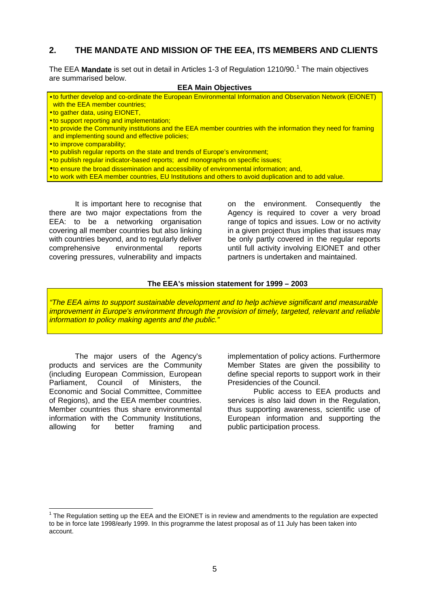# **2. THE MANDATE AND MISSION OF THE EEA, ITS MEMBERS AND CLIENTS**

The EEA Mandate is set out in detail in Articles 1-3 of Regulation 1210/90.<sup>1</sup> The main objectives are summarised below.

#### **EEA Main Objectives**

- to further develop and co-ordinate the European Environmental Information and Observation Network (EIONET) with the EEA member countries;
- to gather data, using EIONET,
- to support reporting and implementation;
- to provide the Community institutions and the EEA member countries with the information they need for framing and implementing sound and effective policies;
- to improve comparability;
- to publish regular reports on the state and trends of Europe's environment;
- to publish regular indicator-based reports; and monographs on specific issues;
- to ensure the broad dissemination and accessibility of environmental information; and,
- to work with EEA member countries, EU Institutions and others to avoid duplication and to add value.

It is important here to recognise that there are two major expectations from the EEA: to be a networking organisation covering all member countries but also linking with countries beyond, and to regularly deliver comprehensive environmental reports covering pressures, vulnerability and impacts

on the environment. Consequently the Agency is required to cover a very broad range of topics and issues. Low or no activity in a given project thus implies that issues may be only partly covered in the regular reports until full activity involving EIONET and other partners is undertaken and maintained.

#### **The EEA's mission statement for 1999 – 2003**

"The EEA aims to support sustainable development and to help achieve significant and measurable improvement in Europe's environment through the provision of timely, targeted, relevant and reliable information to policy making agents and the public."

The major users of the Agency's products and services are the Community (including European Commission, European Parliament, Council of Ministers, the Economic and Social Committee, Committee of Regions), and the EEA member countries. Member countries thus share environmental information with the Community Institutions, allowing for better framing and

 $\overline{\phantom{a}}$ 

implementation of policy actions. Furthermore Member States are given the possibility to define special reports to support work in their Presidencies of the Council.

Public access to EEA products and services is also laid down in the Regulation, thus supporting awareness, scientific use of European information and supporting the public participation process.

<sup>1</sup> The Regulation setting up the EEA and the EIONET is in review and amendments to the regulation are expected to be in force late 1998/early 1999. In this programme the latest proposal as of 11 July has been taken into account.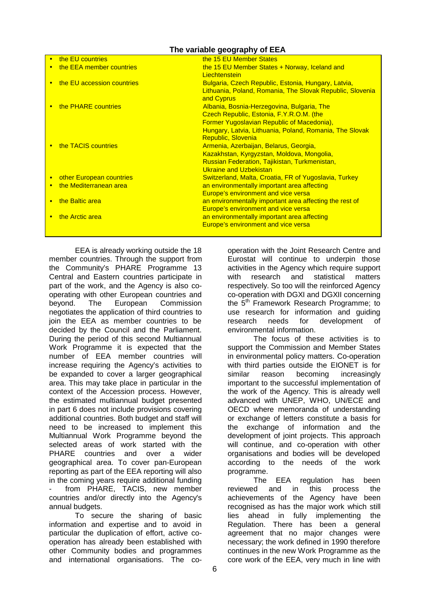### **The variable geography of EEA**

| the EU countries           | the 15 EU Member States                                   |
|----------------------------|-----------------------------------------------------------|
| the EEA member countries   | the 15 EU Member States + Norway, Iceland and             |
|                            | Liechtenstein                                             |
| the EU accession countries | Bulgaria, Czech Republic, Estonia, Hungary, Latvia,       |
|                            | Lithuania, Poland, Romania, The Slovak Republic, Slovenia |
|                            | and Cyprus                                                |
| the PHARE countries        | Albania, Bosnia-Herzegovina, Bulgaria, The                |
|                            | Czech Republic, Estonia, F.Y.R.O.M. (the                  |
|                            | Former Yugoslavian Republic of Macedonia),                |
|                            | Hungary, Latvia, Lithuania, Poland, Romania, The Slovak   |
|                            | <b>Republic, Slovenia</b>                                 |
| the TACIS countries        | Armenia, Azerbaijan, Belarus, Georgia,                    |
|                            | Kazakhstan, Kyrgyzstan, Moldova, Mongolia,                |
|                            | <b>Russian Federation, Tajikistan, Turkmenistan,</b>      |
|                            | Ukraine and Uzbekistan                                    |
| other European countries   | Switzerland, Malta, Croatia, FR of Yugoslavia, Turkey     |
| the Mediterranean area     | an environmentally important area affecting               |
|                            | Europe's environment and vice versa                       |
| the Baltic area            | an environmentally important area affecting the rest of   |
|                            | <b>Europe's environment and vice versa</b>                |
| the Arctic area            | an environmentally important area affecting               |
|                            | Europe's environment and vice versa                       |
|                            |                                                           |

EEA is already working outside the 18 member countries. Through the support from the Community's PHARE Programme 13 Central and Eastern countries participate in part of the work, and the Agency is also cooperating with other European countries and beyond. The European Commission negotiates the application of third countries to join the EEA as member countries to be decided by the Council and the Parliament. During the period of this second Multiannual Work Programme it is expected that the number of EEA member countries will increase requiring the Agency's activities to be expanded to cover a larger geographical area. This may take place in particular in the context of the Accession process. However, the estimated multiannual budget presented in part 6 does not include provisions covering additional countries. Both budget and staff will need to be increased to implement this Multiannual Work Programme beyond the selected areas of work started with the PHARE countries and over a wider geographical area. To cover pan-European reporting as part of the EEA reporting will also in the coming years require additional funding from PHARE, TACIS, new member countries and/or directly into the Agency's annual budgets.

To secure the sharing of basic information and expertise and to avoid in particular the duplication of effort, active cooperation has already been established with other Community bodies and programmes and international organisations. The cooperation with the Joint Research Centre and Eurostat will continue to underpin those activities in the Agency which require support with research and statistical matters respectively. So too will the reinforced Agency co-operation with DGXI and DGXII concerning the 5<sup>th</sup> Framework Research Programme; to use research for information and guiding research needs for development of environmental information.

The focus of these activities is to support the Commission and Member States in environmental policy matters. Co-operation with third parties outside the EIONET is for similar reason becoming increasingly important to the successful implementation of the work of the Agency. This is already well advanced with UNEP, WHO, UN/ECE and OECD where memoranda of understanding or exchange of letters constitute a basis for the exchange of information and the development of joint projects. This approach will continue, and co-operation with other organisations and bodies will be developed according to the needs of the work programme.

The EEA regulation has been reviewed and in this process the achievements of the Agency have been recognised as has the major work which still lies ahead in fully implementing the Regulation. There has been a general agreement that no major changes were necessary; the work defined in 1990 therefore continues in the new Work Programme as the core work of the EEA, very much in line with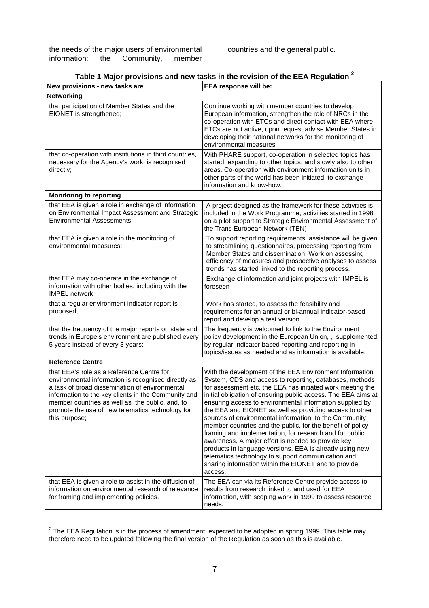the needs of the major users of environmental information: the Community, member

countries and the general public.

|  |  | Table 1 Major provisions and new tasks in the revision of the EEA Regulation $^{\mathsf{2}}$ |  |  |
|--|--|----------------------------------------------------------------------------------------------|--|--|
|  |  |                                                                                              |  |  |

| New provisions - new tasks are                                                                                                                                                                                                                                                                                                    | EEA response will be:                                                                                                                                                                                                                                                                                                                                                                                                                                                                                                                                                                                                                                                                                                                                                                                 |
|-----------------------------------------------------------------------------------------------------------------------------------------------------------------------------------------------------------------------------------------------------------------------------------------------------------------------------------|-------------------------------------------------------------------------------------------------------------------------------------------------------------------------------------------------------------------------------------------------------------------------------------------------------------------------------------------------------------------------------------------------------------------------------------------------------------------------------------------------------------------------------------------------------------------------------------------------------------------------------------------------------------------------------------------------------------------------------------------------------------------------------------------------------|
| <b>Networking</b>                                                                                                                                                                                                                                                                                                                 |                                                                                                                                                                                                                                                                                                                                                                                                                                                                                                                                                                                                                                                                                                                                                                                                       |
| that participation of Member States and the<br>EIONET is strengthened;                                                                                                                                                                                                                                                            | Continue working with member countries to develop<br>European information, strengthen the role of NRCs in the<br>co-operation with ETCs and direct contact with EEA where<br>ETCs are not active, upon request advise Member States in<br>developing their national networks for the monitoring of<br>environmental measures                                                                                                                                                                                                                                                                                                                                                                                                                                                                          |
| that co-operation with institutions in third countries,<br>necessary for the Agency's work, is recognised<br>directly;                                                                                                                                                                                                            | With PHARE support, co-operation in selected topics has<br>started, expanding to other topics, and slowly also to other<br>areas. Co-operation with environment information units in<br>other parts of the world has been initiated, to exchange<br>information and know-how.                                                                                                                                                                                                                                                                                                                                                                                                                                                                                                                         |
| <b>Monitoring to reporting</b>                                                                                                                                                                                                                                                                                                    |                                                                                                                                                                                                                                                                                                                                                                                                                                                                                                                                                                                                                                                                                                                                                                                                       |
| that EEA is given a role in exchange of information<br>on Environmental Impact Assessment and Strategic<br><b>Environmental Assessments:</b>                                                                                                                                                                                      | A project designed as the framework for these activities is<br>included in the Work Programme, activities started in 1998<br>on a pilot support to Strategic Environmental Assessment of<br>the Trans European Network (TEN)                                                                                                                                                                                                                                                                                                                                                                                                                                                                                                                                                                          |
| that EEA is given a role in the monitoring of<br>environmental measures:                                                                                                                                                                                                                                                          | To support reporting requirements, assistance will be given<br>to streamlining questionnaires, processing reporting from<br>Member States and dissemination. Work on assessing<br>efficiency of measures and prospective analyses to assess<br>trends has started linked to the reporting process.                                                                                                                                                                                                                                                                                                                                                                                                                                                                                                    |
| that EEA may co-operate in the exchange of<br>information with other bodies, including with the<br><b>IMPEL network</b>                                                                                                                                                                                                           | Exchange of information and joint projects with IMPEL is<br>foreseen                                                                                                                                                                                                                                                                                                                                                                                                                                                                                                                                                                                                                                                                                                                                  |
| that a regular environment indicator report is<br>proposed;                                                                                                                                                                                                                                                                       | Work has started, to assess the feasibility and<br>requirements for an annual or bi-annual indicator-based<br>report and develop a test version                                                                                                                                                                                                                                                                                                                                                                                                                                                                                                                                                                                                                                                       |
| that the frequency of the major reports on state and<br>trends in Europe's environment are published every<br>5 years instead of every 3 years;                                                                                                                                                                                   | The frequency is welcomed to link to the Environment<br>policy development in the European Union,, supplemented<br>by regular indicator based reporting and reporting in<br>topics/issues as needed and as information is available.                                                                                                                                                                                                                                                                                                                                                                                                                                                                                                                                                                  |
| <b>Reference Centre</b>                                                                                                                                                                                                                                                                                                           |                                                                                                                                                                                                                                                                                                                                                                                                                                                                                                                                                                                                                                                                                                                                                                                                       |
| that EEA's role as a Reference Centre for<br>environmental information is recognised directly as<br>a task of broad dissemination of environmental<br>information to the key clients in the Community and<br>member countries as well as the public, and, to<br>promote the use of new telematics technology for<br>this purpose; | With the development of the EEA Environment Information<br>System, CDS and access to reporting, databases, methods<br>for assessment etc. the EEA has initiated work meeting the<br>initial obligation of ensuring public access. The EEA aims at<br>ensuring access to environmental information supplied by<br>the EEA and EIONET as well as providing access to other<br>sources of environmental information to the Community,<br>member countries and the public, for the benefit of policy<br>framing and implementation, for research and for public<br>awareness. A major effort is needed to provide key<br>products in language versions. EEA is already using new<br>telematics technology to support communication and<br>sharing information within the EIONET and to provide<br>access. |
| that EEA is given a role to assist in the diffusion of<br>information on environmental research of relevance<br>for framing and implementing policies.                                                                                                                                                                            | The EEA can via its Reference Centre provide access to<br>results from research linked to and used for EEA<br>information, with scoping work in 1999 to assess resource<br>needs.                                                                                                                                                                                                                                                                                                                                                                                                                                                                                                                                                                                                                     |

<sup>————————————————————&</sup>lt;br><sup>2</sup> The EEA Regulation is in the process of amendment, expected to be adopted in spring 1999. This table may therefore need to be updated following the final version of the Regulation as soon as this is available.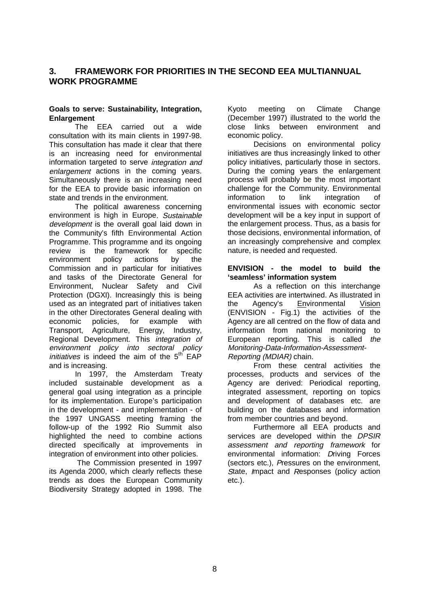# **3. FRAMEWORK FOR PRIORITIES IN THE SECOND EEA MULTIANNUAL WORK PROGRAMME**

#### **Goals to serve: Sustainability, Integration, Enlargement**

The EEA carried out a wide consultation with its main clients in 1997-98. This consultation has made it clear that there is an increasing need for environmental information targeted to serve integration and enlargement actions in the coming years. Simultaneously there is an increasing need for the EEA to provide basic information on state and trends in the environment.

The political awareness concerning environment is high in Europe. Sustainable development is the overall goal laid down in the Community's fifth Environmental Action Programme. This programme and its ongoing review is the framework for specific environment policy actions by the Commission and in particular for initiatives and tasks of the Directorate General for Environment, Nuclear Safety and Civil Protection (DGXI). Increasingly this is being used as an integrated part of initiatives taken in the other Directorates General dealing with economic policies, for example with Transport, Agriculture, Energy, Industry, Regional Development. This integration of environment policy into sectoral policy *initiatives* is indeed the aim of the  $5<sup>th</sup>$  EAP and is increasing.

In 1997, the Amsterdam Treaty included sustainable development as a general goal using integration as a principle for its implementation. Europe's participation in the development - and implementation - of the 1997 UNGASS meeting framing the follow-up of the 1992 Rio Summit also highlighted the need to combine actions directed specifically at improvements in integration of environment into other policies.

 The Commission presented in 1997 its Agenda 2000, which clearly reflects these trends as does the European Community Biodiversity Strategy adopted in 1998. The

Kyoto meeting on Climate Change (December 1997) illustrated to the world the close links between environment and economic policy.

Decisions on environmental policy initiatives are thus increasingly linked to other policy initiatives, particularly those in sectors. During the coming years the enlargement process will probably be the most important challenge for the Community. Environmental information to link integration of environmental issues with economic sector development will be a key input in support of the enlargement process. Thus, as a basis for those decisions, environmental information, of an increasingly comprehensive and complex nature, is needed and requested.

#### **ENVISION - the model to build the 'seamless' information system**

As a reflection on this interchange EEA activities are intertwined. As illustrated in the Agency's Environmental Vision (ENVISION - Fig.1) the activities of the Agency are all centred on the flow of data and information from national monitoring to European reporting. This is called the Monitoring-Data-Information-Assessment-Reporting (MDIAR) chain.

From these central activities the processes, products and services of the Agency are derived: Periodical reporting, integrated assessment, reporting on topics and development of databases etc. are building on the databases and information from member countries and beyond.

Furthermore all EEA products and services are developed within the DPSIR assessment and reporting framework for environmental information: Driving Forces (sectors etc.), Pressures on the environment, State, Impact and Responses (policy action etc.).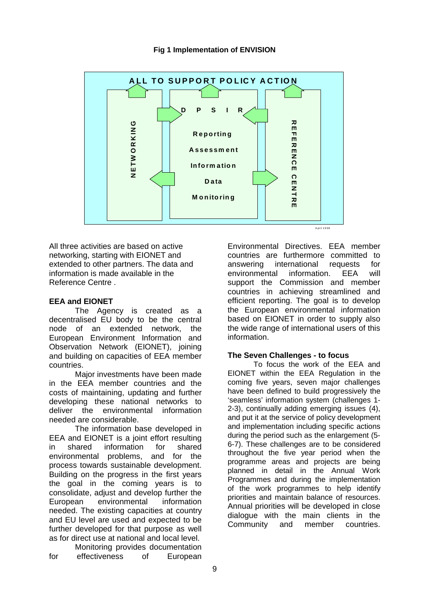#### **Fig 1 Implementation of ENVISION**



All three activities are based on active networking, starting with EIONET and extended to other partners. The data and information is made available in the Reference Centre .

### **EEA and EIONET**

The Agency is created as a decentralised EU body to be the central node of an extended network, the European Environment Information and Observation Network (EIONET), joining and building on capacities of EEA member countries.

Major investments have been made in the EEA member countries and the costs of maintaining, updating and further developing these national networks to deliver the environmental information needed are considerable.

The information base developed in EEA and EIONET is a joint effort resulting in shared information for shared environmental problems, and for the process towards sustainable development. Building on the progress in the first years the goal in the coming years is to consolidate, adjust and develop further the European environmental information needed. The existing capacities at country and EU level are used and expected to be further developed for that purpose as well as for direct use at national and local level.

Monitoring provides documentation for effectiveness of European Environmental Directives. EEA member countries are furthermore committed to answering international requests for<br>environmental information FFA will environmental information. EEA support the Commission and member countries in achieving streamlined and efficient reporting. The goal is to develop the European environmental information based on EIONET in order to supply also the wide range of international users of this information.

#### **The Seven Challenges - to focus**

To focus the work of the EEA and EIONET within the EEA Regulation in the coming five years, seven major challenges have been defined to build progressively the 'seamless' information system (challenges 1- 2-3), continually adding emerging issues (4), and put it at the service of policy development and implementation including specific actions during the period such as the enlargement (5- 6-7). These challenges are to be considered throughout the five year period when the programme areas and projects are being planned in detail in the Annual Work Programmes and during the implementation of the work programmes to help identify priorities and maintain balance of resources. Annual priorities will be developed in close dialogue with the main clients in the Community and member countries.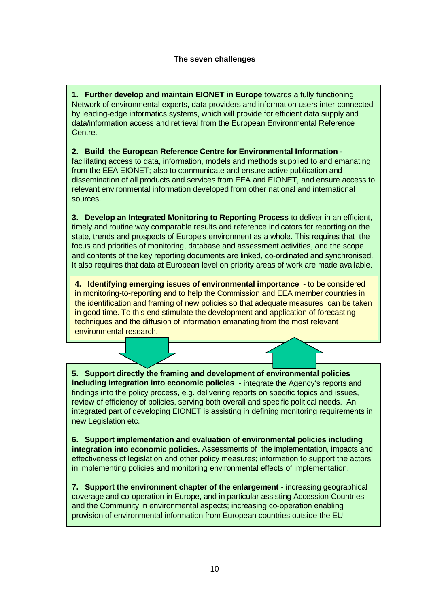**1. Further develop and maintain EIONET in Europe** towards a fully functioning Network of environmental experts, data providers and information users inter-connected by leading-edge informatics systems, which will provide for efficient data supply and data/information access and retrieval from the European Environmental Reference Centre.

#### **2. Build the European Reference Centre for Environmental Information**  facilitating access to data, information, models and methods supplied to and emanating from the EEA EIONET; also to communicate and ensure active publication and dissemination of all products and services from EEA and EIONET, and ensure access to relevant environmental information developed from other national and international sources.

**3. Develop an Integrated Monitoring to Reporting Process** to deliver in an efficient, timely and routine way comparable results and reference indicators for reporting on the state, trends and prospects of Europe's environment as a whole. This requires that the focus and priorities of monitoring, database and assessment activities, and the scope and contents of the key reporting documents are linked, co-ordinated and synchronised. It also requires that data at European level on priority areas of work are made available.

**4. Identifying emerging issues of environmental importance** - to be considered in monitoring-to-reporting and to help the Commission and EEA member countries in the identification and framing of new policies so that adequate measures can be taken in good time. To this end stimulate the development and application of forecasting techniques and the diffusion of information emanating from the most relevant environmental research.

**5. Support directly the framing and development of environmental policies including integration into economic policies** - integrate the Agency's reports and findings into the policy process, e.g. delivering reports on specific topics and issues, review of efficiency of policies, serving both overall and specific political needs. An integrated part of developing EIONET is assisting in defining monitoring requirements in new Legislation etc.

**6. Support implementation and evaluation of environmental policies including integration into economic policies.** Assessments of the implementation, impacts and effectiveness of legislation and other policy measures; information to support the actors in implementing policies and monitoring environmental effects of implementation.

**7. Support the environment chapter of the enlargement** - increasing geographical coverage and co-operation in Europe, and in particular assisting Accession Countries and the Community in environmental aspects; increasing co-operation enabling provision of environmental information from European countries outside the EU.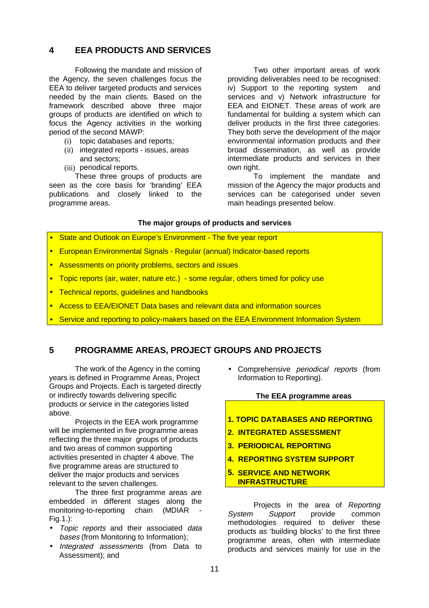# **4 EEA PRODUCTS AND SERVICES**

Following the mandate and mission of the Agency, the seven challenges focus the EEA to deliver targeted products and services needed by the main clients. Based on the framework described above three major groups of products are identified on which to focus the Agency activities in the working period of the second MAWP:

- (i) topic databases and reports;
- (ii) integrated reports issues, areas and sectors;
- (iii) periodical reports.

These three groups of products are seen as the core basis for 'branding' EEA publications and closely linked to the programme areas.

Two other important areas of work providing deliverables need to be recognised: iv) Support to the reporting system and services and v) Network infrastructure for EEA and EIONET. These areas of work are fundamental for building a system which can deliver products in the first three categories. They both serve the development of the major environmental information products and their broad dissemination, as well as provide intermediate products and services in their own right.

To implement the mandate and mission of the Agency the major products and services can be categorised under seven main headings presented below.

#### **The major groups of products and services**

- State and Outlook on Europe's Environment The five year report
- European Environmental Signals Regular (annual) Indicator-based reports
- Assessments on priority problems, sectors and issues
- Topic reports (air, water, nature etc.) some regular, others timed for policy use
- Technical reports, guidelines and handbooks
- Access to EEA/EIONET Data bases and relevant data and information sources
- Service and reporting to policy-makers based on the EEA Environment Information System

# **5 PROGRAMME AREAS, PROJECT GROUPS AND PROJECTS**

The work of the Agency in the coming years is defined in Programme Areas, Project Groups and Projects. Each is targeted directly or indirectly towards delivering specific products or service in the categories listed above.

Projects in the EEA work programme will be implemented in five programme areas reflecting the three major groups of products and two areas of common supporting activities presented in chapter 4 above. The five programme areas are structured to deliver the major products and services relevant to the seven challenges.

The three first programme areas are embedded in different stages along the monitoring-to-reporting chain (MDIAR Fig.1.):

- Topic reports and their associated data bases (from Monitoring to Information);
- Integrated assessments (from Data to Assessment); and

Comprehensive *periodical reports* (from Information to Reporting).

#### **The EEA programme areas**

- **1. TOPIC DATABASES AND REPORTING**
- **2. INTEGRATED ASSESSMENT**
- **3. PERIODICAL REPORTING**
- **4. REPORTING SYSTEM SUPPORT**
- **5. SERVICE AND NETWORK INFRASTRUCTURE**

Projects in the area of Reporting System Support provide common methodologies required to deliver these products as 'building blocks' to the first three programme areas, often with intermediate products and services mainly for use in the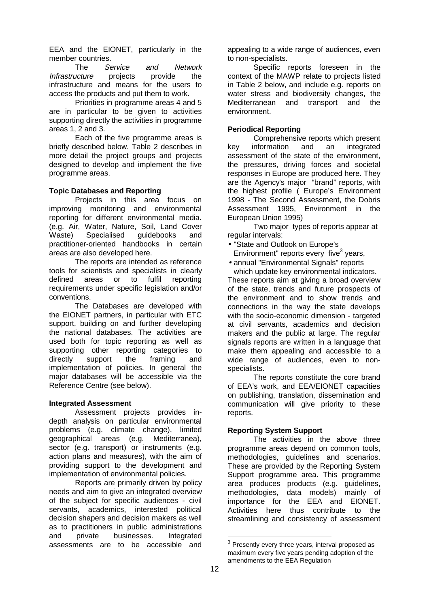EEA and the EIONET, particularly in the member countries.

The Service and Network Infrastructure projects provide the infrastructure and means for the users to access the products and put them to work.

Priorities in programme areas 4 and 5 are in particular to be given to activities supporting directly the activities in programme areas 1, 2 and 3.

Each of the five programme areas is briefly described below. Table 2 describes in more detail the project groups and projects designed to develop and implement the five programme areas.

#### **Topic Databases and Reporting**

Projects in this area focus on improving monitoring and environmental reporting for different environmental media. (e.g. Air, Water, Nature, Soil, Land Cover Waste) Specialised guidebooks and practitioner-oriented handbooks in certain areas are also developed here.

The reports are intended as reference tools for scientists and specialists in clearly defined areas or to fulfil reporting requirements under specific legislation and/or conventions.

The Databases are developed with the EIONET partners, in particular with ETC support, building on and further developing the national databases. The activities are used both for topic reporting as well as supporting other reporting categories to directly support the framing and implementation of policies. In general the major databases will be accessible via the Reference Centre (see below).

#### **Integrated Assessment**

Assessment projects provides indepth analysis on particular environmental problems (e.g. climate change), limited geographical areas (e.g. Mediterranea), sector (e.g. transport) or instruments (e.g. action plans and measures), with the aim of providing support to the development and implementation of environmental policies.

Reports are primarily driven by policy needs and aim to give an integrated overview of the subject for specific audiences - civil servants, academics, interested political decision shapers and decision makers as well as to practitioners in public administrations and private businesses. Integrated assessments are to be accessible and

appealing to a wide range of audiences, even to non-specialists.

Specific reports foreseen in the context of the MAWP relate to projects listed in Table 2 below, and include e.g. reports on water stress and biodiversity changes, the Mediterranean and transport and the environment.

#### **Periodical Reporting**

Comprehensive reports which present key information and an integrated assessment of the state of the environment, the pressures, driving forces and societal responses in Europe are produced here. They are the Agency's major "brand" reports, with the highest profile ( Europe's Environment 1998 - The Second Assessment, the Dobris Assessment 1995, Environment in the European Union 1995)

Two major types of reports appear at regular intervals:

• "State and Outlook on Europe's

Environment" reports every five<sup>3</sup> years,

• annual "Environmental Signals" reports which update key environmental indicators.

These reports aim at giving a broad overview of the state, trends and future prospects of the environment and to show trends and connections in the way the state develops with the socio-economic dimension - targeted at civil servants, academics and decision makers and the public at large. The regular signals reports are written in a language that make them appealing and accessible to a wide range of audiences, even to nonspecialists.

The reports constitute the core brand of EEA's work, and EEA/EIONET capacities on publishing, translation, dissemination and communication will give priority to these reports.

#### **Reporting System Support**

The activities in the above three programme areas depend on common tools, methodologies, guidelines and scenarios. These are provided by the Reporting System Support programme area. This programme area produces products (e.g. guidelines, methodologies, data models) mainly of importance for the EEA and EIONET. Activities here thus contribute to the streamlining and consistency of assessment

 $\overline{a}$ 

 $^3$  Presently every three years, interval proposed as maximum every five years pending adoption of the amendments to the EEA Regulation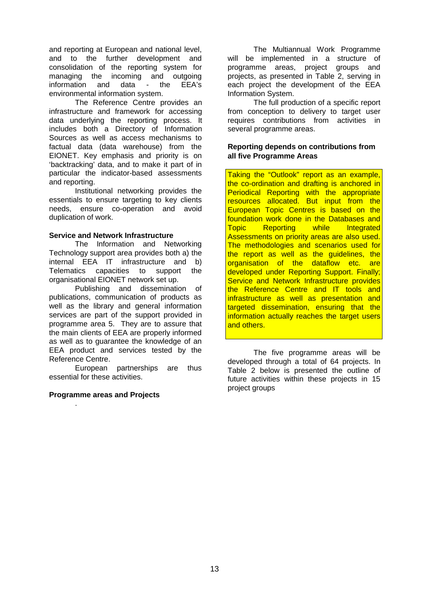and reporting at European and national level, and to the further development and consolidation of the reporting system for managing the incoming and outgoing information and data - the EEA's environmental information system.

The Reference Centre provides an infrastructure and framework for accessing data underlying the reporting process. It includes both a Directory of Information Sources as well as access mechanisms to factual data (data warehouse) from the EIONET. Key emphasis and priority is on 'backtracking' data, and to make it part of in particular the indicator-based assessments and reporting.

Institutional networking provides the essentials to ensure targeting to key clients needs, ensure co-operation and avoid duplication of work.

#### **Service and Network Infrastructure**

The Information and Networking Technology support area provides both a) the internal EEA IT infrastructure and b) Telematics capacities to support the organisational EIONET network set up.

Publishing and dissemination of publications, communication of products as well as the library and general information services are part of the support provided in programme area 5. They are to assure that the main clients of EEA are properly informed as well as to guarantee the knowledge of an EEA product and services tested by the Reference Centre.

European partnerships are thus essential for these activities.

#### **Programme areas and Projects**

.

The Multiannual Work Programme will be implemented in a structure of programme areas, project groups and projects, as presented in Table 2, serving in each project the development of the EEA Information System.

The full production of a specific report from conception to delivery to target user requires contributions from activities in several programme areas.

#### **Reporting depends on contributions from all five Programme Areas**

Taking the "Outlook" report as an example, the co-ordination and drafting is anchored in Periodical Reporting with the appropriate resources allocated. But input from the European Topic Centres is based on the foundation work done in the Databases and Topic Reporting while Integrated Assessments on priority areas are also used. The methodologies and scenarios used for the report as well as the guidelines, the organisation of the dataflow etc. are developed under Reporting Support. Finally; Service and Network Infrastructure provides the Reference Centre and IT tools and infrastructure as well as presentation and targeted dissemination, ensuring that the information actually reaches the target users and others.

The five programme areas will be developed through a total of 64 projects. In Table 2 below is presented the outline of future activities within these projects in 15 project groups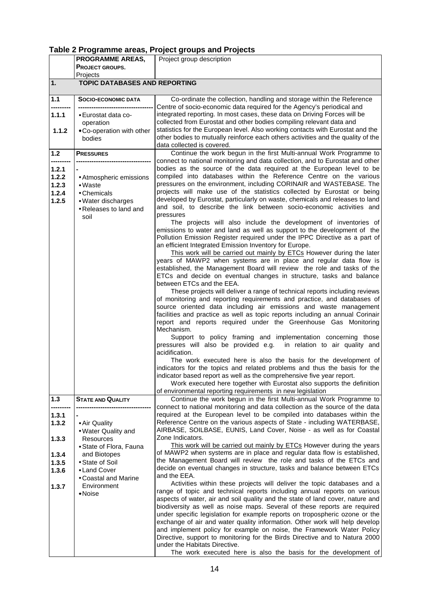# **Table 2 Programme areas, Project groups and Projects**

|                                           | <b>PROGRAMME AREAS,</b>                                                                                           | Project group description                                                                                                                                                                                                                                                                                                                                                                                                                                                                                                                                                                                                                                                                                                                                                                                                                                                                                                                                                                                                                                                                                                                                                                                                                                                                                                                                                                                                                                                                                                                                                                                                                                                                                                                                                                                                                                                          |
|-------------------------------------------|-------------------------------------------------------------------------------------------------------------------|------------------------------------------------------------------------------------------------------------------------------------------------------------------------------------------------------------------------------------------------------------------------------------------------------------------------------------------------------------------------------------------------------------------------------------------------------------------------------------------------------------------------------------------------------------------------------------------------------------------------------------------------------------------------------------------------------------------------------------------------------------------------------------------------------------------------------------------------------------------------------------------------------------------------------------------------------------------------------------------------------------------------------------------------------------------------------------------------------------------------------------------------------------------------------------------------------------------------------------------------------------------------------------------------------------------------------------------------------------------------------------------------------------------------------------------------------------------------------------------------------------------------------------------------------------------------------------------------------------------------------------------------------------------------------------------------------------------------------------------------------------------------------------------------------------------------------------------------------------------------------------|
|                                           | PROJECT GROUPS,                                                                                                   |                                                                                                                                                                                                                                                                                                                                                                                                                                                                                                                                                                                                                                                                                                                                                                                                                                                                                                                                                                                                                                                                                                                                                                                                                                                                                                                                                                                                                                                                                                                                                                                                                                                                                                                                                                                                                                                                                    |
| 1.                                        | Projects<br><b>TOPIC DATABASES AND REPORTING</b>                                                                  |                                                                                                                                                                                                                                                                                                                                                                                                                                                                                                                                                                                                                                                                                                                                                                                                                                                                                                                                                                                                                                                                                                                                                                                                                                                                                                                                                                                                                                                                                                                                                                                                                                                                                                                                                                                                                                                                                    |
| 1.1                                       | <b>SOCIO-ECONOMIC DATA</b>                                                                                        | Co-ordinate the collection, handling and storage within the Reference                                                                                                                                                                                                                                                                                                                                                                                                                                                                                                                                                                                                                                                                                                                                                                                                                                                                                                                                                                                                                                                                                                                                                                                                                                                                                                                                                                                                                                                                                                                                                                                                                                                                                                                                                                                                              |
| 1.1.1                                     | -------------------------------<br>• Eurostat data co-<br>operation                                               | Centre of socio-economic data required for the Agency's periodical and<br>integrated reporting. In most cases, these data on Driving Forces will be<br>collected from Eurostat and other bodies compiling relevant data and                                                                                                                                                                                                                                                                                                                                                                                                                                                                                                                                                                                                                                                                                                                                                                                                                                                                                                                                                                                                                                                                                                                                                                                                                                                                                                                                                                                                                                                                                                                                                                                                                                                        |
| 1.1.2                                     | . Co-operation with other<br>bodies                                                                               | statistics for the European level. Also working contacts with Eurostat and the<br>other bodies to mutually reinforce each others activities and the quality of the<br>data collected is covered.                                                                                                                                                                                                                                                                                                                                                                                                                                                                                                                                                                                                                                                                                                                                                                                                                                                                                                                                                                                                                                                                                                                                                                                                                                                                                                                                                                                                                                                                                                                                                                                                                                                                                   |
| 1.2                                       | <b>PRESSURES</b>                                                                                                  | Continue the work begun in the first Multi-annual Work Programme to                                                                                                                                                                                                                                                                                                                                                                                                                                                                                                                                                                                                                                                                                                                                                                                                                                                                                                                                                                                                                                                                                                                                                                                                                                                                                                                                                                                                                                                                                                                                                                                                                                                                                                                                                                                                                |
| 1.2.1<br>1.2.2<br>1.2.3<br>1.2.4<br>1.2.5 | • Atmospheric emissions<br>$\bullet$ Waste<br>• Chemicals<br>· Water discharges<br>• Releases to land and<br>soil | connect to national monitoring and data collection, and to Eurostat and other<br>bodies as the source of the data required at the European level to be<br>compiled into databases within the Reference Centre on the various<br>pressures on the environment, including CORINAIR and WASTEBASE. The<br>projects will make use of the statistics collected by Eurostat or being<br>developed by Eurostat, particularly on waste, chemicals and releases to land<br>and soil, to describe the link between socio-economic activities and<br>pressures<br>The projects will also include the development of inventories of<br>emissions to water and land as well as support to the development of the<br>Pollution Emission Register required under the IPPC Directive as a part of<br>an efficient Integrated Emission Inventory for Europe.<br>This work will be carried out mainly by ETCs However during the later<br>years of MAWP2 when systems are in place and regular data flow is<br>established, the Management Board will review the role and tasks of the<br>ETCs and decide on eventual changes in structure, tasks and balance<br>between ETCs and the EEA.<br>These projects will deliver a range of technical reports including reviews<br>of monitoring and reporting requirements and practice, and databases of<br>source oriented data including air emissions and waste management<br>facilities and practice as well as topic reports including an annual Corinair<br>report and reports required under the Greenhouse Gas Monitoring<br>Mechanism.<br>Support to policy framing and implementation concerning those<br>pressures will also be provided e.g. in relation to air quality and<br>acidification.<br>The work executed here is also the basis for the development of<br>indicators for the topics and related problems and thus the basis for the |
|                                           |                                                                                                                   | indicator based report as well as the comprehensive five year report.<br>Work executed here together with Eurostat also supports the definition<br>of environmental reporting requirements in new legislation                                                                                                                                                                                                                                                                                                                                                                                                                                                                                                                                                                                                                                                                                                                                                                                                                                                                                                                                                                                                                                                                                                                                                                                                                                                                                                                                                                                                                                                                                                                                                                                                                                                                      |
| 1.3                                       | <b>STATE AND QUALITY</b>                                                                                          | Continue the work begun in the first Multi-annual Work Programme to<br>connect to national monitoring and data collection as the source of the data                                                                                                                                                                                                                                                                                                                                                                                                                                                                                                                                                                                                                                                                                                                                                                                                                                                                                                                                                                                                                                                                                                                                                                                                                                                                                                                                                                                                                                                                                                                                                                                                                                                                                                                                |
| 1.3.1<br>1.3.2<br>1.3.3                   | • Air Quality<br>• Water Quality and<br><b>Resources</b>                                                          | required at the European level to be compiled into databases within the<br>Reference Centre on the various aspects of State - including WATERBASE,<br>AIRBASE, SOILBASE, EUNIS, Land Cover, Noise - as well as for Coastal<br>Zone Indicators.                                                                                                                                                                                                                                                                                                                                                                                                                                                                                                                                                                                                                                                                                                                                                                                                                                                                                                                                                                                                                                                                                                                                                                                                                                                                                                                                                                                                                                                                                                                                                                                                                                     |
|                                           | • State of Flora, Fauna                                                                                           | This work will be carried out mainly by ETCs However during the years                                                                                                                                                                                                                                                                                                                                                                                                                                                                                                                                                                                                                                                                                                                                                                                                                                                                                                                                                                                                                                                                                                                                                                                                                                                                                                                                                                                                                                                                                                                                                                                                                                                                                                                                                                                                              |
| 1.3.4<br>1.3.5                            | and Biotopes<br>• State of Soil                                                                                   | of MAWP2 when systems are in place and regular data flow is established,<br>the Management Board will review the role and tasks of the ETCs and                                                                                                                                                                                                                                                                                                                                                                                                                                                                                                                                                                                                                                                                                                                                                                                                                                                                                                                                                                                                                                                                                                                                                                                                                                                                                                                                                                                                                                                                                                                                                                                                                                                                                                                                    |
| 1.3.6                                     | • Land Cover                                                                                                      | decide on eventual changes in structure, tasks and balance between ETCs                                                                                                                                                                                                                                                                                                                                                                                                                                                                                                                                                                                                                                                                                                                                                                                                                                                                                                                                                                                                                                                                                                                                                                                                                                                                                                                                                                                                                                                                                                                                                                                                                                                                                                                                                                                                            |
|                                           | • Coastal and Marine<br>Environment                                                                               | and the EEA.<br>Activities within these projects will deliver the topic databases and a                                                                                                                                                                                                                                                                                                                                                                                                                                                                                                                                                                                                                                                                                                                                                                                                                                                                                                                                                                                                                                                                                                                                                                                                                                                                                                                                                                                                                                                                                                                                                                                                                                                                                                                                                                                            |
| 1.3.7                                     | $\bullet$ Noise                                                                                                   | range of topic and technical reports including annual reports on various<br>aspects of water, air and soil quality and the state of land cover, nature and<br>biodiversity as well as noise maps. Several of these reports are required<br>under specific legislation for example reports on tropospheric ozone or the<br>exchange of air and water quality information. Other work will help develop<br>and implement policy for example on noise, the Framework Water Policy<br>Directive, support to monitoring for the Birds Directive and to Natura 2000<br>under the Habitats Directive.<br>The work executed here is also the basis for the development of                                                                                                                                                                                                                                                                                                                                                                                                                                                                                                                                                                                                                                                                                                                                                                                                                                                                                                                                                                                                                                                                                                                                                                                                                  |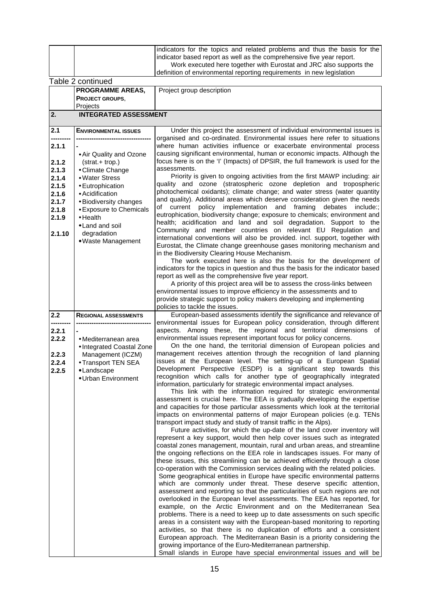|                |                                            | indicators for the topics and related problems and thus the basis for the                                                                                  |
|----------------|--------------------------------------------|------------------------------------------------------------------------------------------------------------------------------------------------------------|
|                |                                            | indicator based report as well as the comprehensive five year report.                                                                                      |
|                |                                            | Work executed here together with Eurostat and JRC also supports the                                                                                        |
|                | Table 2 continued                          | definition of environmental reporting requirements in new legislation                                                                                      |
|                | PROGRAMME AREAS,                           | Project group description                                                                                                                                  |
|                | <b>PROJECT GROUPS.</b>                     |                                                                                                                                                            |
|                | Projects                                   |                                                                                                                                                            |
| 2.             | <b>INTEGRATED ASSESSMENT</b>               |                                                                                                                                                            |
|                |                                            |                                                                                                                                                            |
| 2.1            | <b>ENVIRONMENTAL ISSUES</b>                | Under this project the assessment of individual environmental issues is                                                                                    |
| 2.1.1          |                                            | organised and co-ordinated. Environmental issues here refer to situations<br>where human activities influence or exacerbate environmental process          |
|                | • Air Quality and Ozone                    | causing significant environmental, human or economic impacts. Although the                                                                                 |
| 2.1.2          | (strat.+ trop.)                            | focus here is on the 'I' (Impacts) of DPSIR, the full framework is used for the                                                                            |
| 2.1.3          | • Climate Change                           | assessments.                                                                                                                                               |
| 2.1.4          | • Water Stress                             | Priority is given to ongoing activities from the first MAWP including: air                                                                                 |
| 2.1.5          | • Eutrophication                           | quality and ozone (stratospheric ozone depletion and tropospheric<br>photochemical oxidants); climate change; and water stress (water quantity             |
| 2.1.6<br>2.1.7 | • Acidification<br>· Biodiversity changes  | and quality). Additional areas which deserve consideration given the needs                                                                                 |
| 2.1.8          | • Exposure to Chemicals                    | of current policy implementation and framing<br>debates<br>include::                                                                                       |
| 2.1.9          | $\bullet$ Health                           | eutrophication, biodiversity change; exposure to chemicals; environment and                                                                                |
|                | · Land and soil                            | health; acidification and land and soil degradation. Support to the                                                                                        |
| 2.1.10         | degradation                                | Community and member countries on relevant EU Regulation and<br>international conventions will also be provided. incl. support, together with              |
|                | • Waste Management                         | Eurostat, the Climate change greenhouse gases monitoring mechanism and                                                                                     |
|                |                                            | in the Biodiversity Clearing House Mechanism.                                                                                                              |
|                |                                            | The work executed here is also the basis for the development of                                                                                            |
|                |                                            | indicators for the topics in question and thus the basis for the indicator based<br>report as well as the comprehensive five year report.                  |
|                |                                            | A priority of this project area will be to assess the cross-links between                                                                                  |
|                |                                            | environmental issues to improve efficiency in the assessments and to                                                                                       |
|                |                                            | provide strategic support to policy makers developing and implementing                                                                                     |
|                |                                            | policies to tackle the issues.                                                                                                                             |
| 2.2            | <b>REGIONAL ASSESSMENTS</b>                | European-based assessments identify the significance and relevance of<br>environmental issues for European policy consideration, through different         |
| 2.2.1          |                                            | aspects. Among these, the regional and territorial dimensions of                                                                                           |
| 2.2.2          | • Mediterranean area                       | environmental issues represent important focus for policy concerns.                                                                                        |
|                | • Integrated Coastal Zone                  | On the one hand, the territorial dimension of European policies and                                                                                        |
| 2.2.3          | Management (ICZM)                          | management receives attention through the recognition of land planning<br>issues at the European level. The setting-up of a European Spatial               |
| 2.2.4          | • Transport TEN SEA                        | Development Perspective (ESDP) is a significant step towards this                                                                                          |
| 2.2.5          | $\bullet$ Landscape<br>• Urban Environment | recognition which calls for another type of geographically integrated                                                                                      |
|                |                                            | information, particularly for strategic environmental impact analyses.                                                                                     |
|                |                                            | This link with the information required for strategic environmental                                                                                        |
|                |                                            | assessment is crucial here. The EEA is gradually developing the expertise<br>and capacities for those particular assessments which look at the territorial |
|                |                                            | impacts on environmental patterns of major European policies (e.g. TENs                                                                                    |
|                |                                            | transport impact study and study of transit traffic in the Alps).                                                                                          |
|                |                                            | Future activities, for which the up-date of the land cover inventory will                                                                                  |
|                |                                            | represent a key support, would then help cover issues such as integrated<br>coastal zones management, mountain, rural and urban areas, and streamline      |
|                |                                            | the ongoing reflections on the EEA role in landscapes issues. For many of                                                                                  |
|                |                                            | these issues, this streamlining can be achieved efficiently through a close                                                                                |
|                |                                            | co-operation with the Commission services dealing with the related policies.                                                                               |
|                |                                            | Some geographical entities in Europe have specific environmental patterns                                                                                  |
|                |                                            | which are commonly under threat. These deserve specific attention,<br>assessment and reporting so that the particularities of such regions are not         |
|                |                                            | overlooked in the European level assessments. The EEA has reported, for                                                                                    |
|                |                                            | example, on the Arctic Environment and on the Mediterranean Sea                                                                                            |
|                |                                            | problems. There is a need to keep up to date assessments on such specific                                                                                  |
|                |                                            | areas in a consistent way with the European-based monitoring to reporting                                                                                  |
|                |                                            | activities, so that there is no duplication of efforts and a consistent                                                                                    |
|                |                                            | European approach. The Mediterranean Basin is a priority considering the<br>growing importance of the Euro-Mediterranean partnership.                      |
|                |                                            | Small islands in Europe have special environmental issues and will be                                                                                      |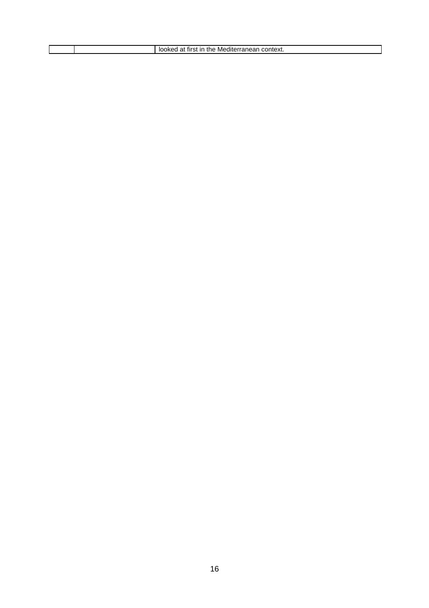|  | context.<br>the<br>tırst<br>ın<br>Mediterranean ≅ |
|--|---------------------------------------------------|
|  |                                                   |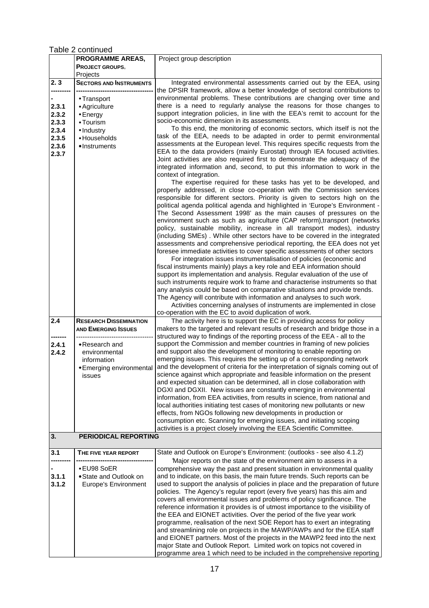Table 2 continued

|       | <b>PROGRAMME AREAS,</b>        | Project group description                                                                                                                        |
|-------|--------------------------------|--------------------------------------------------------------------------------------------------------------------------------------------------|
|       | PROJECT GROUPS,                |                                                                                                                                                  |
|       | Projects                       |                                                                                                                                                  |
| 2.3   | <b>SECTORS AND INSTRUMENTS</b> | Integrated environmental assessments carried out by the EEA, using<br>the DPSIR framework, allow a better knowledge of sectoral contributions to |
|       | • Transport                    | environmental problems. These contributions are changing over time and                                                                           |
| 2.3.1 | • Agriculture                  | there is a need to regularly analyse the reasons for those changes to                                                                            |
| 2.3.2 |                                | support integration policies, in line with the EEA's remit to account for the                                                                    |
|       | $\bullet$ Energy               | socio-economic dimension in its assessments.                                                                                                     |
| 2.3.3 | • Tourism                      | To this end, the monitoring of economic sectors, which itself is not the                                                                         |
| 2.3.4 | • Industry                     | task of the EEA, needs to be adapted in order to permit environmental                                                                            |
| 2.3.5 | • Households                   |                                                                                                                                                  |
| 2.3.6 | • Instruments                  | assessments at the European level. This requires specific requests from the                                                                      |
| 2.3.7 |                                | EEA to the data providers (mainly Eurostat) through IEA focused activities.                                                                      |
|       |                                | Joint activities are also required first to demonstrate the adequacy of the                                                                      |
|       |                                | integrated information and, second, to put this information to work in the                                                                       |
|       |                                | context of integration.                                                                                                                          |
|       |                                | The expertise required for these tasks has yet to be developed, and                                                                              |
|       |                                | properly addressed, in close co-operation with the Commission services                                                                           |
|       |                                | responsible for different sectors. Priority is given to sectors high on the                                                                      |
|       |                                | political agenda political agenda and highlighted in 'Europe's Environment -                                                                     |
|       |                                | The Second Assessment 1998' as the main causes of pressures on the                                                                               |
|       |                                | environment such as such as agriculture (CAP reform), transport (networks                                                                        |
|       |                                | policy, sustainable mobility, increase in all transport modes), industry                                                                         |
|       |                                | (including SMEs). While other sectors have to be covered in the integrated                                                                       |
|       |                                | assessments and comprehensive periodical reporting, the EEA does not yet                                                                         |
|       |                                | foresee immediate activities to cover specific assessments of other sectors                                                                      |
|       |                                | For integration issues instrumentalisation of policies (economic and                                                                             |
|       |                                | fiscal instruments mainly) plays a key role and EEA information should                                                                           |
|       |                                | support its implementation and analysis. Regular evaluation of the use of                                                                        |
|       |                                | such instruments require work to frame and characterise instruments so that                                                                      |
|       |                                | any analysis could be based on comparative situations and provide trends.                                                                        |
|       |                                | The Agency will contribute with information and analyses to such work.                                                                           |
|       |                                | Activities concerning analyses of instruments are implemented in close                                                                           |
|       |                                | co-operation with the EC to avoid duplication of work.                                                                                           |
| 2.4   | <b>RESEARCH DISSEMINATION</b>  | The activity here is to support the EC in providing access for policy                                                                            |
|       | <b>AND EMERGING ISSUES</b>     | makers to the targeted and relevant results of research and bridge those in a                                                                    |
|       |                                | structured way to findings of the reporting process of the EEA - all to the                                                                      |
| 2.4.1 | • Research and                 | support the Commission and member countries in framing of new policies                                                                           |
| 2.4.2 | environmental                  | and support also the development of monitoring to enable reporting on                                                                            |
|       | information                    | emerging issues. This requires the setting up of a corresponding network                                                                         |
|       | • Emerging environmental       | and the development of criteria for the interpretation of signals coming out of                                                                  |
|       | issues                         | science against which appropriate and feasible information on the present                                                                        |
|       |                                | and expected situation can be determined, all in close collaboration with                                                                        |
|       |                                | DGXI and DGXII. New issues are constantly emerging in environmental                                                                              |
|       |                                | information, from EEA activities, from results in science, from national and                                                                     |
|       |                                | local authorities initiating test cases of monitoring new pollutants or new                                                                      |
|       |                                | effects, from NGOs following new developments in production or                                                                                   |
|       |                                | consumption etc. Scanning for emerging issues, and initiating scoping                                                                            |
|       |                                | activities is a project closely involving the EEA Scientific Committee.                                                                          |
| 3.    | PERIODICAL REPORTING           |                                                                                                                                                  |
|       |                                |                                                                                                                                                  |
| 3.1   | THE FIVE YEAR REPORT           | State and Outlook on Europe's Environment: (outlooks - see also 4.1.2)                                                                           |
|       |                                | Major reports on the state of the environment aim to assess in a                                                                                 |
|       | ● EU98 SoER                    | comprehensive way the past and present situation in environmental quality                                                                        |
| 3.1.1 | · State and Outlook on         | and to indicate, on this basis, the main future trends. Such reports can be                                                                      |
| 3.1.2 | <b>Europe's Environment</b>    | used to support the analysis of policies in place and the preparation of future                                                                  |
|       |                                | policies. The Agency's regular report (every five years) has this aim and                                                                        |
|       |                                | covers all environmental issues and problems of policy significance. The                                                                         |
|       |                                | reference information it provides is of utmost importance to the visibility of                                                                   |
|       |                                | the EEA and EIONET activities. Over the period of the five year work                                                                             |
|       |                                | programme, realisation of the next SOE Report has to exert an integrating                                                                        |
|       |                                | and streamlining role on projects in the MAWP/AWPs and for the EEA staff                                                                         |
|       |                                | and EIONET partners. Most of the projects in the MAWP2 feed into the next                                                                        |
|       |                                | major State and Outlook Report. Limited work on topics not covered in                                                                            |
|       |                                | programme area 1 which need to be included in the comprehensive reporting                                                                        |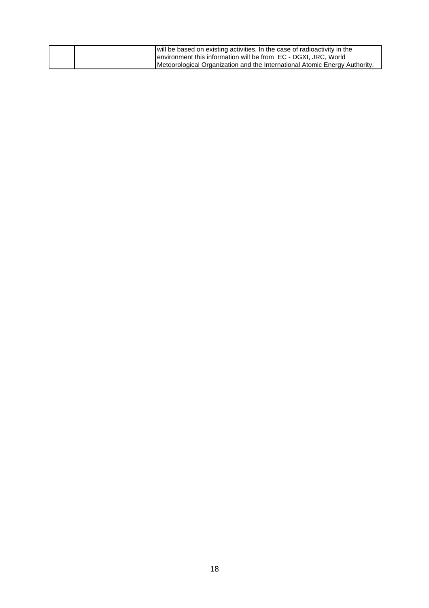| will be based on existing activities. In the case of radioactivity in the  |
|----------------------------------------------------------------------------|
| environment this information will be from EC - DGXI, JRC, World            |
| Meteorological Organization and the International Atomic Energy Authority. |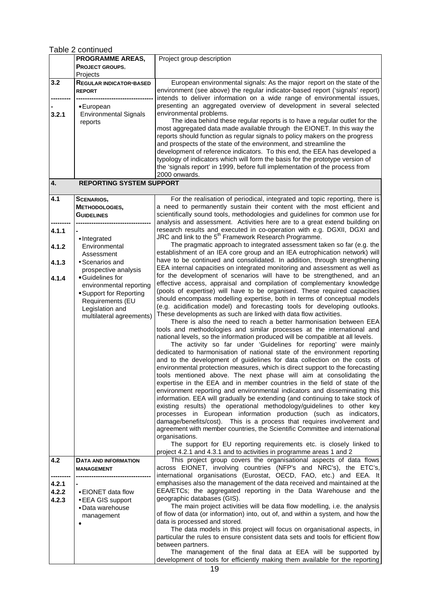Table 2 continued

|                         | <b>PROGRAMME AREAS,</b>                                                                                                                                           | Project group description                                                                                                                                                                                                                                                                                                                                                                                                                                                                                                                                                                                                                                                                                                                                                                                                                                                                                                                                                                                                                                                                                                                                                                                                                                                                                                                                                                                                                                                                                                                                                                                                                                                                                                                                                                                                                                                         |
|-------------------------|-------------------------------------------------------------------------------------------------------------------------------------------------------------------|-----------------------------------------------------------------------------------------------------------------------------------------------------------------------------------------------------------------------------------------------------------------------------------------------------------------------------------------------------------------------------------------------------------------------------------------------------------------------------------------------------------------------------------------------------------------------------------------------------------------------------------------------------------------------------------------------------------------------------------------------------------------------------------------------------------------------------------------------------------------------------------------------------------------------------------------------------------------------------------------------------------------------------------------------------------------------------------------------------------------------------------------------------------------------------------------------------------------------------------------------------------------------------------------------------------------------------------------------------------------------------------------------------------------------------------------------------------------------------------------------------------------------------------------------------------------------------------------------------------------------------------------------------------------------------------------------------------------------------------------------------------------------------------------------------------------------------------------------------------------------------------|
|                         | PROJECT GROUPS,                                                                                                                                                   |                                                                                                                                                                                                                                                                                                                                                                                                                                                                                                                                                                                                                                                                                                                                                                                                                                                                                                                                                                                                                                                                                                                                                                                                                                                                                                                                                                                                                                                                                                                                                                                                                                                                                                                                                                                                                                                                                   |
|                         | Projects                                                                                                                                                          |                                                                                                                                                                                                                                                                                                                                                                                                                                                                                                                                                                                                                                                                                                                                                                                                                                                                                                                                                                                                                                                                                                                                                                                                                                                                                                                                                                                                                                                                                                                                                                                                                                                                                                                                                                                                                                                                                   |
| 3.2                     | <b>REGULAR INDICATOR-BASED</b><br><b>REPORT</b>                                                                                                                   | European environmental signals: As the major report on the state of the<br>environment (see above) the regular indicator-based report ('signals' report)<br>intends to deliver information on a wide range of environmental issues,                                                                                                                                                                                                                                                                                                                                                                                                                                                                                                                                                                                                                                                                                                                                                                                                                                                                                                                                                                                                                                                                                                                                                                                                                                                                                                                                                                                                                                                                                                                                                                                                                                               |
| 3.2.1                   | • European<br><b>Environmental Signals</b><br>reports                                                                                                             | presenting an aggregated overview of development in several selected<br>environmental problems.<br>The idea behind these regular reports is to have a regular outlet for the<br>most aggregated data made available through the EIONET. In this way the<br>reports should function as regular signals to policy makers on the progress<br>and prospects of the state of the environment, and streamline the<br>development of reference indicators. To this end, the EEA has developed a<br>typology of indicators which will form the basis for the prototype version of<br>the 'signals report' in 1999, before full implementation of the process from<br>2000 onwards.                                                                                                                                                                                                                                                                                                                                                                                                                                                                                                                                                                                                                                                                                                                                                                                                                                                                                                                                                                                                                                                                                                                                                                                                        |
| 4.                      | <b>REPORTING SYSTEM SUPPORT</b>                                                                                                                                   |                                                                                                                                                                                                                                                                                                                                                                                                                                                                                                                                                                                                                                                                                                                                                                                                                                                                                                                                                                                                                                                                                                                                                                                                                                                                                                                                                                                                                                                                                                                                                                                                                                                                                                                                                                                                                                                                                   |
|                         |                                                                                                                                                                   |                                                                                                                                                                                                                                                                                                                                                                                                                                                                                                                                                                                                                                                                                                                                                                                                                                                                                                                                                                                                                                                                                                                                                                                                                                                                                                                                                                                                                                                                                                                                                                                                                                                                                                                                                                                                                                                                                   |
| 4.1                     | <b>SCENARIOS,</b><br>METHODOLOGIES,<br><b>GUIDELINES</b>                                                                                                          | For the realisation of periodical, integrated and topic reporting, there is<br>a need to permanently sustain their content with the most efficient and<br>scientifically sound tools, methodologies and guidelines for common use for<br>analysis and assessment. Activities here are to a great extend building on                                                                                                                                                                                                                                                                                                                                                                                                                                                                                                                                                                                                                                                                                                                                                                                                                                                                                                                                                                                                                                                                                                                                                                                                                                                                                                                                                                                                                                                                                                                                                               |
| 4.1.1<br>4.1.2          | · Integrated<br>Environmental                                                                                                                                     | research results and executed in co-operation with e.g. DGXII, DGXI and<br>JRC and link to the 5 <sup>th</sup> Framework Research Programme.<br>The pragmatic approach to integrated assessment taken so far (e.g. the                                                                                                                                                                                                                                                                                                                                                                                                                                                                                                                                                                                                                                                                                                                                                                                                                                                                                                                                                                                                                                                                                                                                                                                                                                                                                                                                                                                                                                                                                                                                                                                                                                                            |
| 4.1.3                   | Assessment<br>• Scenarios and                                                                                                                                     | establishment of an IEA core group and an IEA eutrophication network) will<br>have to be continued and consolidated. In addition, through strengthening                                                                                                                                                                                                                                                                                                                                                                                                                                                                                                                                                                                                                                                                                                                                                                                                                                                                                                                                                                                                                                                                                                                                                                                                                                                                                                                                                                                                                                                                                                                                                                                                                                                                                                                           |
| 4.1.4                   | prospective analysis<br>• Guidelines for<br>environmental reporting<br>• Support for Reporting<br>Requirements (EU<br>Legislation and<br>multilateral agreements) | EEA internal capacities on integrated monitoring and assessment as well as<br>for the development of scenarios will have to be strengthened, and an<br>effective access, appraisal and compilation of complementary knowledge<br>(pools of expertise) will have to be organised. These required capacities<br>should encompass modelling expertise, both in terms of conceptual models<br>(e.g. acidification model) and forecasting tools for developing outlooks.<br>These developments as such are linked with data flow activities.<br>There is also the need to reach a better harmonisation between EEA<br>tools and methodologies and similar processes at the international and<br>national levels, so the information produced will be compatible at all levels.<br>The activity so far under 'Guidelines for reporting' were mainly<br>dedicated to harmonisation of national state of the environment reporting<br>and to the development of guidelines for data collection on the costs of<br>environmental protection measures, which is direct support to the forecasting<br>tools mentioned above. The next phase will aim at consolidating the<br>expertise in the EEA and in member countries in the field of state of the<br>environment reporting and environmental indicators and disseminating this<br>information. EEA will gradually be extending (and continuing to take stock of<br>existing results) the operational methodology/guidelines to other key<br>processes in European information production (such as indicators,<br>damage/benefits/cost). This is a process that requires involvement and<br>agreement with member countries, the Scientific Committee and international<br>organisations.<br>The support for EU reporting requirements etc. is closely linked to<br>project 4.2.1 and 4.3.1 and to activities in programme areas 1 and 2 |
| 4.2                     | DATA AND INFORMATION                                                                                                                                              | This project group covers the organisational aspects of data flows                                                                                                                                                                                                                                                                                                                                                                                                                                                                                                                                                                                                                                                                                                                                                                                                                                                                                                                                                                                                                                                                                                                                                                                                                                                                                                                                                                                                                                                                                                                                                                                                                                                                                                                                                                                                                |
|                         | <b>MANAGEMENT</b>                                                                                                                                                 | across EIONET, involving countries (NFP's and NRC's), the ETC's,<br>international organisations (Eurostat, OECD, FAO, etc.) and EEA. It                                                                                                                                                                                                                                                                                                                                                                                                                                                                                                                                                                                                                                                                                                                                                                                                                                                                                                                                                                                                                                                                                                                                                                                                                                                                                                                                                                                                                                                                                                                                                                                                                                                                                                                                           |
| 4.2.1<br>4.2.2<br>4.2.3 | • EIONET data flow<br>• EEA GIS support<br>• Data warehouse<br>management                                                                                         | emphasises also the management of the data received and maintained at the<br>EEA/ETCs; the aggregated reporting in the Data Warehouse and the<br>geographic databases (GIS).<br>The main project activities will be data flow modelling, i.e. the analysis<br>of flow of data (or information) into, out of, and within a system, and how the<br>data is processed and stored.<br>The data models in this project will focus on organisational aspects, in<br>particular the rules to ensure consistent data sets and tools for efficient flow                                                                                                                                                                                                                                                                                                                                                                                                                                                                                                                                                                                                                                                                                                                                                                                                                                                                                                                                                                                                                                                                                                                                                                                                                                                                                                                                    |
|                         |                                                                                                                                                                   | between partners.<br>The management of the final data at EEA will be supported by<br>development of tools for efficiently making them available for the reporting                                                                                                                                                                                                                                                                                                                                                                                                                                                                                                                                                                                                                                                                                                                                                                                                                                                                                                                                                                                                                                                                                                                                                                                                                                                                                                                                                                                                                                                                                                                                                                                                                                                                                                                 |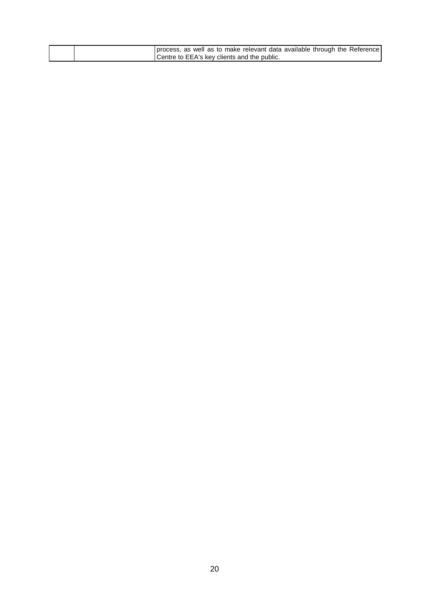|  |                                             |  |  |  |  | process, as well as to make relevant data available through the Reference |
|--|---------------------------------------------|--|--|--|--|---------------------------------------------------------------------------|
|  | Centre to EEA's key clients and the public. |  |  |  |  |                                                                           |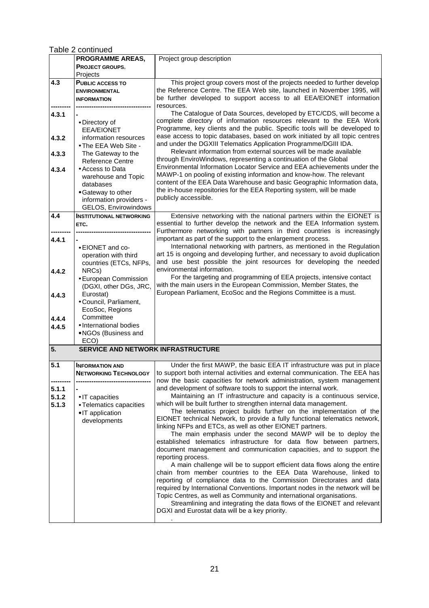Table 2 continued

|       | <b>PROGRAMME AREAS,</b>                         | Project group description                                                                                                                        |
|-------|-------------------------------------------------|--------------------------------------------------------------------------------------------------------------------------------------------------|
|       | PROJECT GROUPS,                                 |                                                                                                                                                  |
|       | Projects                                        |                                                                                                                                                  |
| 4.3   | <b>PUBLIC ACCESS TO</b>                         | This project group covers most of the projects needed to further develop                                                                         |
|       | <b>ENVIRONMENTAL</b><br><b>INFORMATION</b>      | the Reference Centre. The EEA Web site, launched in November 1995, will<br>be further developed to support access to all EEA/EIONET information  |
|       |                                                 | resources.                                                                                                                                       |
| 4.3.1 |                                                 | The Catalogue of Data Sources, developed by ETC/CDS, will become a                                                                               |
|       | • Directory of                                  | complete directory of information resources relevant to the EEA Work                                                                             |
|       | <b>EEA/EIONET</b>                               | Programme, key clients and the public. Specific tools will be developed to                                                                       |
| 4.3.2 | information resources                           | ease access to topic databases, based on work initiated by all topic centres<br>and under the DGXIII Telematics Application Programme/DGIII IDA. |
| 4.3.3 | • The EEA Web Site -<br>The Gateway to the      | Relevant information from external sources will be made available                                                                                |
|       | <b>Reference Centre</b>                         | through EnviroWindows, representing a continuation of the Global                                                                                 |
| 4.3.4 | • Access to Data                                | Environmental Information Locator Service and EEA achievements under the                                                                         |
|       | warehouse and Topic                             | MAWP-1 on pooling of existing information and know-how. The relevant                                                                             |
|       | databases                                       | content of the EEA Data Warehouse and basic Geographic Information data,<br>the in-house repositories for the EEA Reporting system, will be made |
|       | • Gateway to other<br>information providers -   | publicly accessible.                                                                                                                             |
|       | GELOS, Envirowindows                            |                                                                                                                                                  |
| 4.4   | <b>INSTITUTIONAL NETWORKING</b>                 | Extensive networking with the national partners within the EIONET is                                                                             |
|       | ETC.                                            | essential to further develop the network and the EEA Information system.                                                                         |
|       |                                                 | Furthermore networking with partners in third countries is increasingly<br>important as part of the support to the enlargement process.          |
| 4.4.1 | • EIONET and co-                                | International networking with partners, as mentioned in the Regulation                                                                           |
|       | operation with third                            | art 15 is ongoing and developing further, and necessary to avoid duplication                                                                     |
|       | countries (ETCs, NFPs,                          | and use best possible the joint resources for developing the needed                                                                              |
| 4.4.2 | NRCs)                                           | environmental information.                                                                                                                       |
|       | • European Commission<br>(DGXI, other DGs, JRC, | For the targeting and programming of EEA projects, intensive contact<br>with the main users in the European Commission, Member States, the       |
| 4.4.3 | Eurostat)                                       | European Parliament, EcoSoc and the Regions Committee is a must.                                                                                 |
|       | • Council, Parliament,                          |                                                                                                                                                  |
|       | EcoSoc, Regions                                 |                                                                                                                                                  |
| 4.4.4 | Committee                                       |                                                                                                                                                  |
| 4.4.5 | · International bodies<br>• NGOs (Business and  |                                                                                                                                                  |
|       | ECO)                                            |                                                                                                                                                  |
| 5.    | SERVICE AND NETWORK INFRASTRUCTURE              |                                                                                                                                                  |
| 5.1   | <b>INFORMATION AND</b>                          | Under the first MAWP, the basic EEA IT infrastructure was put in place                                                                           |
|       | <b>NETWORKING TECHNOLOGY</b>                    | to support both internal activities and external communication. The EEA has                                                                      |
| 5.1.1 |                                                 | now the basic capacities for network administration, system management<br>and development of software tools to support the internal work.        |
| 5.1.2 | • IT capacities                                 | Maintaining an IT infrastructure and capacity is a continuous service,                                                                           |
| 5.1.3 | • Telematics capacities                         | which will be built further to strengthen internal data management.                                                                              |
|       | • IT application                                | The telematics project builds further on the implementation of the                                                                               |
|       | developments                                    | EIONET technical Network, to provide a fully functional telematics network,                                                                      |
|       |                                                 | linking NFPs and ETCs, as well as other EIONET partners.<br>The main emphasis under the second MAWP will be to deploy the                        |
|       |                                                 | established telematics infrastructure for data flow between partners,                                                                            |
|       |                                                 | document management and communication capacities, and to support the                                                                             |
|       |                                                 | reporting process.                                                                                                                               |
|       |                                                 | A main challenge will be to support efficient data flows along the entire<br>chain from member countries to the EEA Data Warehouse, linked to    |
|       |                                                 | reporting of compliance data to the Commission Directorates and data                                                                             |
|       |                                                 | required by International Conventions. Important nodes in the network will be                                                                    |
|       |                                                 | Topic Centres, as well as Community and international organisations.                                                                             |
|       |                                                 | Streamlining and integrating the data flows of the EIONET and relevant<br>DGXI and Eurostat data will be a key priority.                         |
|       |                                                 |                                                                                                                                                  |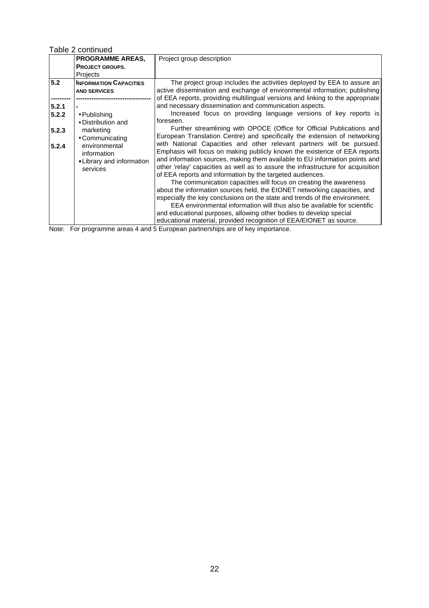Table 2 continued

|       | <b>PROGRAMME AREAS,</b>       | Project group description                                                        |
|-------|-------------------------------|----------------------------------------------------------------------------------|
|       | <b>PROJECT GROUPS,</b>        |                                                                                  |
|       | Projects                      |                                                                                  |
| 5.2   | <b>INFORMATION CAPACITIES</b> | The project group includes the activities deployed by EEA to assure an           |
|       | <b>AND SERVICES</b>           | active dissemination and exchange of environmental information; publishing       |
|       |                               | of EEA reports, providing multilingual versions and linking to the appropriate   |
| 5.2.1 |                               | and necessary dissemination and communication aspects.                           |
| 5.2.2 | $\bullet$ Publishing          | Increased focus on providing language versions of key reports is                 |
|       | • Distribution and            | foreseen.                                                                        |
| 5.2.3 | marketing                     | Further streamlining with OPOCE (Office for Official Publications and            |
|       | • Communicating               | European Translation Centre) and specifically the extension of networking        |
| 5.2.4 | environmental                 | with National Capacities and other relevant partners will be pursued.            |
|       | information                   | Emphasis will focus on making publicly known the existence of EEA reports        |
|       | • Library and information     | and information sources, making them available to EU information points and      |
|       | services                      | other 'relay' capacities as well as to assure the infrastructure for acquisition |
|       |                               | of EEA reports and information by the targeted audiences.                        |
|       |                               | The communication capacities will focus on creating the awareness                |
|       |                               | about the information sources held, the EIONET networking capacities, and        |
|       |                               | especially the key conclusions on the state and trends of the environment.       |
|       |                               | EEA environmental information will thus also be available for scientific         |
|       |                               | and educational purposes, allowing other bodies to develop special               |
|       |                               | educational material, provided recognition of EEA/EIONET as source.              |

Note: For programme areas 4 and 5 European partnerships are of key importance.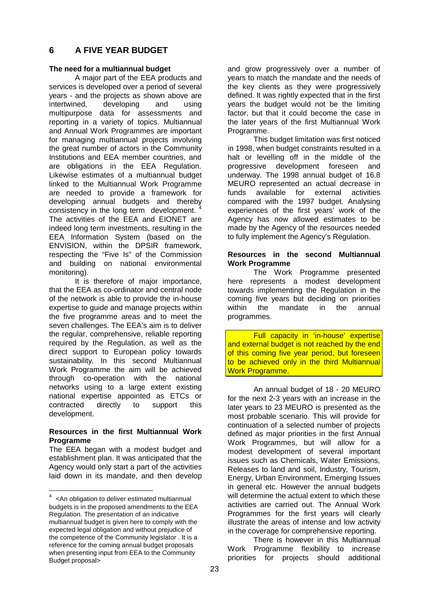# **6 A FIVE YEAR BUDGET**

#### **The need for a multiannual budget**

A major part of the EEA products and services is developed over a period of several years - and the projects as shown above are intertwined, developing and using multipurpose data for assessments and reporting in a variety of topics. Multiannual and Annual Work Programmes are important for managing multiannual projects involving the great number of actors in the Community Institutions and EEA member countries, and are obligations in the EEA Regulation. Likewise estimates of a multiannual budget linked to the Multiannual Work Programme are needed to provide a framework for developing annual budgets and thereby consistency in the long term development. The activities of the EEA and EIONET are indeed long term investments, resulting in the EEA Information System (based on the ENVISION, within the DPSIR framework, respecting the "Five Is" of the Commission and building on national environmental monitoring).

It is therefore of major importance, that the EEA as co-ordinator and central node of the network is able to provide the in-house expertise to guide and manage projects within the five programme areas and to meet the seven challenges. The EEA's aim is to deliver the regular, comprehensive, reliable reporting required by the Regulation, as well as the direct support to European policy towards sustainability. In this second Multiannual Work Programme the aim will be achieved through co-operation with the national networks using to a large extent existing national expertise appointed as ETCs or contracted directly to support this development.

#### **Resources in the first Multiannual Work Programme**

The EEA began with a modest budget and establishment plan. It was anticipated that the Agency would only start a part of the activities laid down in its mandate, and then develop

and grow progressively over a number of years to match the mandate and the needs of the key clients as they were progressively defined. It was rightly expected that in the first years the budget would not be the limiting factor, but that it could become the case in the later years of the first Multiannual Work Programme.

This budget limitation was first noticed in 1998, when budget constraints resulted in a halt or levelling off in the middle of the progressive development foreseen and underway. The 1998 annual budget of 16.8 MEURO represented an actual decrease in funds available for external activities compared with the 1997 budget. Analysing experiences of the first years' work of the Agency has now allowed estimates to be made by the Agency of the resources needed to fully implement the Agency's Regulation.

#### **Resources in the second Multiannual Work Programme**

The Work Programme presented here represents a modest development towards implementing the Regulation in the coming five years but deciding on priorities within the mandate in the annual programmes.

Full capacity in 'in-house' expertise and external budget is not reached by the end of this coming five year period, but foreseen to be achieved only in the third Multiannual Work Programme.

An annual budget of 18 - 20 MEURO for the next 2-3 years with an increase in the later years to 23 MEURO is presented as the most probable scenario. This will provide for continuation of a selected number of projects defined as major priorities in the first Annual Work Programmes, but will allow for a modest development of several important issues such as Chemicals, Water Emissions, Releases to land and soil, Industry, Tourism, Energy, Urban Environment, Emerging Issues in general etc. However the annual budgets will determine the actual extent to which these activities are carried out. The Annual Work Programmes for the first years will clearly illustrate the areas of intense and low activity in the coverage for comprehensive reporting.

There is however in this Multiannual Work Programme flexibility to increase priorities for projects should additional

<sup>4</sup> <An obligation to deliver estimated multiannual budgets is in the proposed amendments to the EEA Regulation. The presentation of an indicative multiannual budget is given here to comply with the expected legal obligation and without prejudice of the competence of the Community legislator . It is a reference for the coming annual budget proposals when presenting input from EEA to the Community Budget proposal>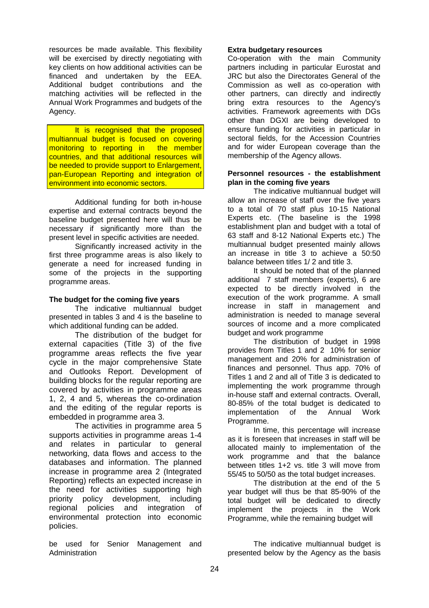resources be made available. This flexibility will be exercised by directly negotiating with key clients on how additional activities can be financed and undertaken by the EEA. Additional budget contributions and the matching activities will be reflected in the Annual Work Programmes and budgets of the Agency.

It is recognised that the proposed multiannual budget is focused on covering monitoring to reporting in the member countries, and that additional resources will be needed to provide support to Enlargement, pan-European Reporting and integration of environment into economic sectors.

Additional funding for both in-house expertise and external contracts beyond the baseline budget presented here will thus be necessary if significantly more than the present level in specific activities are needed.

Significantly increased activity in the first three programme areas is also likely to generate a need for increased funding in some of the projects in the supporting programme areas.

#### **The budget for the coming five years**

The indicative multiannual budget presented in tables 3 and 4 is the baseline to which additional funding can be added.

The distribution of the budget for external capacities (Title 3) of the five programme areas reflects the five year cycle in the major comprehensive State and Outlooks Report. Development of building blocks for the regular reporting are covered by activities in programme areas 1, 2, 4 and 5, whereas the co-ordination and the editing of the regular reports is embedded in programme area 3.

The activities in programme area 5 supports activities in programme areas 1-4 and relates in particular to general networking, data flows and access to the databases and information. The planned increase in programme area 2 (Integrated Reporting) reflects an expected increase in the need for activities supporting high priority policy development, including regional policies and integration of environmental protection into economic policies.

be used for Senior Management and Administration

#### **Extra budgetary resources**

Co-operation with the main Community partners including in particular Eurostat and JRC but also the Directorates General of the Commission as well as co-operation with other partners, can directly and indirectly bring extra resources to the Agency's activities. Framework agreements with DGs other than DGXI are being developed to ensure funding for activities in particular in sectoral fields, for the Accession Countries and for wider European coverage than the membership of the Agency allows.

#### **Personnel resources - the establishment plan in the coming five years**

The indicative multiannual budget will allow an increase of staff over the five years to a total of 70 staff plus 10-15 National Experts etc. (The baseline is the 1998 establishment plan and budget with a total of 63 staff and 8-12 National Experts etc.) The multiannual budget presented mainly allows an increase in title 3 to achieve a 50:50 balance between titles 1/ 2 and title 3.

It should be noted that of the planned additional 7 staff members (experts), 6 are expected to be directly involved in the execution of the work programme. A small increase in staff in management and administration is needed to manage several sources of income and a more complicated budget and work programme

The distribution of budget in 1998 provides from Titles 1 and 2 10% for senior management and 20% for administration of finances and personnel. Thus app. 70% of Titles 1 and 2 and all of Title 3 is dedicated to implementing the work programme through in-house staff and external contracts. Overall, 80-85% of the total budget is dedicated to implementation of the Annual Work Programme.

In time, this percentage will increase as it is foreseen that increases in staff will be allocated mainly to implementation of the work programme and that the balance between titles 1+2 vs. title 3 will move from 55/45 to 50/50 as the total budget increases.

The distribution at the end of the 5 year budget will thus be that 85-90% of the total budget will be dedicated to directly implement the projects in the Work Programme, while the remaining budget will

The indicative multiannual budget is presented below by the Agency as the basis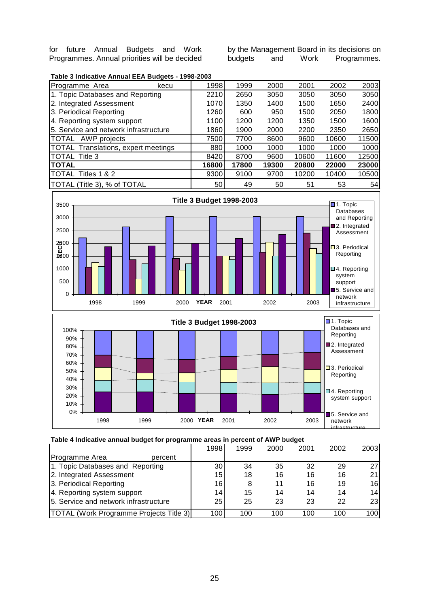for future Annual Budgets and Work Programmes. Annual priorities will be decided by the Management Board in its decisions on budgets and Work Programmes.



| Programme Area                             | kecu | 1998  | 1999  | 2000  | 2001  | 2002  | 2003  |
|--------------------------------------------|------|-------|-------|-------|-------|-------|-------|
| 1. Topic Databases and Reporting           |      | 2210  | 2650  | 3050  | 3050  | 3050  | 3050  |
| 2. Integrated Assessment                   |      | 1070  | 1350  | 1400  | 1500  | 1650  | 2400  |
| 3. Periodical Reporting                    |      | 1260  | 600   | 950   | 1500  | 2050  | 1800  |
| 4. Reporting system support                |      | 1100l | 1200  | 1200  | 1350  | 1500  | 1600  |
| 5. Service and network infrastructure      |      | 1860l | 1900  | 2000  | 2200  | 2350  | 2650  |
| <b>TOTAL</b><br>AWP projects               |      | 7500  | 7700  | 8600  | 9600  | 10600 | 11500 |
| <b>TOTAL Translations, expert meetings</b> |      | 880   | 1000  | 1000  | 1000  | 1000  | 1000  |
| <b>TOTAL Title 3</b>                       |      | 8420  | 8700  | 9600  | 10600 | 11600 | 12500 |
| <b>ITOTAL</b>                              |      | 16800 | 17800 | 19300 | 20800 | 22000 | 23000 |
| <b>TOTAL</b><br>Titles 1 & 2               |      | 9300  | 9100  | 9700  | 10200 | 10400 | 10500 |
| TOTAL (Title 3), % of TOTAL                |      | 50    | 49    | 50    | 51    | 53    | 54    |





#### **Table 4 Indicative annual budget for programme areas in percent of AWP budget**

|                                                | 1998            | 1999 | 2000 | 2001 | 2002 | 2003 |
|------------------------------------------------|-----------------|------|------|------|------|------|
| Programme Area<br>percent                      |                 |      |      |      |      |      |
| 1. Topic Databases and Reporting               | 30 <sub>l</sub> | 34   | 35   | 32   | 29   | 27I  |
| 2. Integrated Assessment                       | 15 <sup>1</sup> | 18   | 16   | 16   | 16   | 211  |
| 3. Periodical Reporting                        | 16              |      | 11   | 16   | 19   | 16l  |
| 4. Reporting system support                    | 14              | 15   | 14   | 14   | 14   | 14   |
| 15. Service and network infrastructure         | 25              | 25   | 23   | 23   | 22   | 23I  |
| <b>TOTAL (Work Programme Projects Title 3)</b> | 100             | 100  | 100  | 100  | 100  | 100l |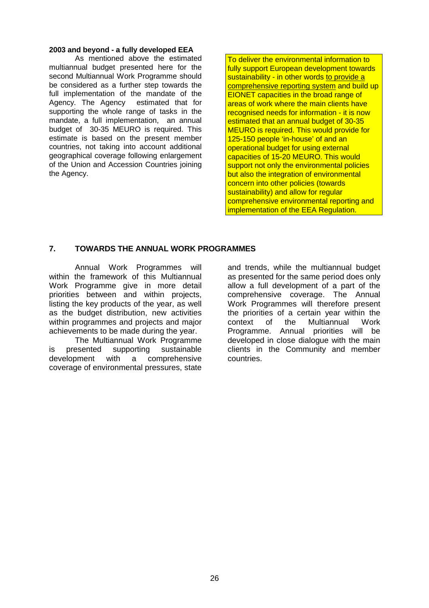#### **2003 and beyond - a fully developed EEA**

As mentioned above the estimated multiannual budget presented here for the second Multiannual Work Programme should be considered as a further step towards the full implementation of the mandate of the Agency. The Agency estimated that for supporting the whole range of tasks in the mandate, a full implementation, an annual budget of 30-35 MEURO is required. This estimate is based on the present member countries, not taking into account additional geographical coverage following enlargement of the Union and Accession Countries joining the Agency.

To deliver the environmental information to fully support European development towards sustainability - in other words to provide a comprehensive reporting system and build up EIONET capacities in the broad range of areas of work where the main clients have recognised needs for information - it is now estimated that an annual budget of 30-35 MEURO is required. This would provide for 125-150 people 'in-house' of and an operational budget for using external capacities of 15-20 MEURO. This would support not only the environmental policies but also the integration of environmental concern into other policies (towards sustainability) and allow for regular comprehensive environmental reporting and implementation of the EEA Regulation.

### **7. TOWARDS THE ANNUAL WORK PROGRAMMES**

Annual Work Programmes will within the framework of this Multiannual Work Programme give in more detail priorities between and within projects, listing the key products of the year, as well as the budget distribution, new activities within programmes and projects and major achievements to be made during the year.

The Multiannual Work Programme is presented supporting sustainable development with a comprehensive coverage of environmental pressures, state

and trends, while the multiannual budget as presented for the same period does only allow a full development of a part of the comprehensive coverage. The Annual Work Programmes will therefore present the priorities of a certain year within the context of the Multiannual Work Programme. Annual priorities will be developed in close dialogue with the main clients in the Community and member countries.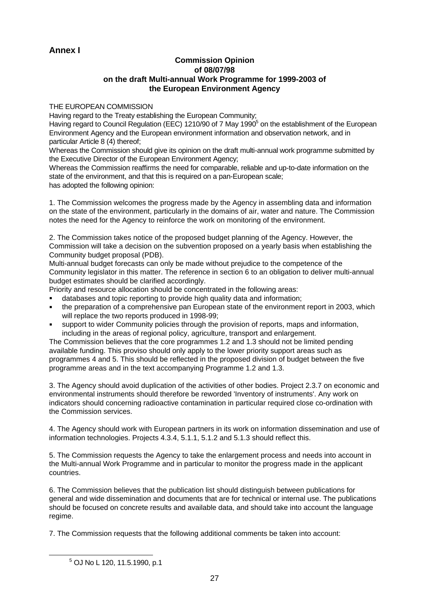# **Annex I**

#### **Commission Opinion of 08/07/98 on the draft Multi-annual Work Programme for 1999-2003 of the European Environment Agency**

#### THE EUROPEAN COMMISSION

Having regard to the Treaty establishing the European Community;

Having regard to Council Regulation (EEC) 1210/90 of 7 May 1990<sup>5</sup> on the establishment of the European Environment Agency and the European environment information and observation network, and in particular Article 8 (4) thereof;

Whereas the Commission should give its opinion on the draft multi-annual work programme submitted by the Executive Director of the European Environment Agency;

Whereas the Commission reaffirms the need for comparable, reliable and up-to-date information on the state of the environment, and that this is required on a pan-European scale;

has adopted the following opinion:

1. The Commission welcomes the progress made by the Agency in assembling data and information on the state of the environment, particularly in the domains of air, water and nature. The Commission notes the need for the Agency to reinforce the work on monitoring of the environment.

2. The Commission takes notice of the proposed budget planning of the Agency. However, the Commission will take a decision on the subvention proposed on a yearly basis when establishing the Community budget proposal (PDB).

Multi-annual budget forecasts can only be made without prejudice to the competence of the Community legislator in this matter. The reference in section 6 to an obligation to deliver multi-annual budget estimates should be clarified accordingly.

Priority and resource allocation should be concentrated in the following areas:

- databases and topic reporting to provide high quality data and information;
- the preparation of a comprehensive pan European state of the environment report in 2003, which will replace the two reports produced in 1998-99;
- support to wider Community policies through the provision of reports, maps and information, including in the areas of regional policy, agriculture, transport and enlargement.

The Commission believes that the core programmes 1.2 and 1.3 should not be limited pending available funding. This proviso should only apply to the lower priority support areas such as programmes 4 and 5. This should be reflected in the proposed division of budget between the five programme areas and in the text accompanying Programme 1.2 and 1.3.

3. The Agency should avoid duplication of the activities of other bodies. Project 2.3.7 on economic and environmental instruments should therefore be reworded 'Inventory of instruments'. Any work on indicators should concerning radioactive contamination in particular required close co-ordination with the Commission services.

4. The Agency should work with European partners in its work on information dissemination and use of information technologies. Projects 4.3.4, 5.1.1, 5.1.2 and 5.1.3 should reflect this.

5. The Commission requests the Agency to take the enlargement process and needs into account in the Multi-annual Work Programme and in particular to monitor the progress made in the applicant countries.

6. The Commission believes that the publication list should distinguish between publications for general and wide dissemination and documents that are for technical or internal use. The publications should be focused on concrete results and available data, and should take into account the language regime.

7. The Commission requests that the following additional comments be taken into account:

 <sup>5</sup> OJ No L 120, 11.5.1990, p.1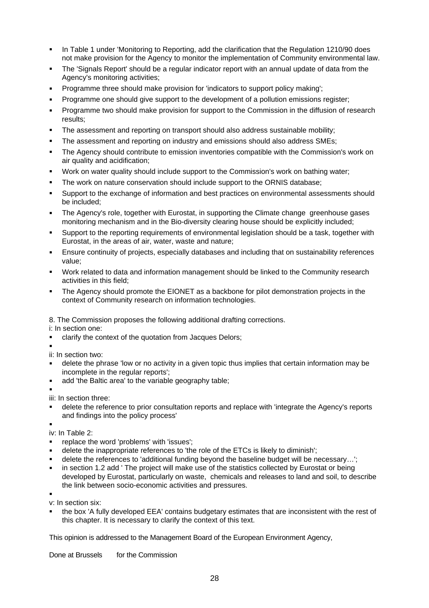- **EXEDE In Table 1 under 'Monitoring to Reporting, add the clarification that the Regulation 1210/90 does** not make provision for the Agency to monitor the implementation of Community environmental law.
- The 'Signals Report' should be a regular indicator report with an annual update of data from the Agency's monitoring activities;
- Programme three should make provision for 'indicators to support policy making';
- É Programme one should give support to the development of a pollution emissions register;
- É Programme two should make provision for support to the Commission in the diffusion of research results;
- The assessment and reporting on transport should also address sustainable mobility;
- The assessment and reporting on industry and emissions should also address SMEs;
- The Agency should contribute to emission inventories compatible with the Commission's work on air quality and acidification;
- Work on water quality should include support to the Commission's work on bathing water;
- The work on nature conservation should include support to the ORNIS database;
- Support to the exchange of information and best practices on environmental assessments should be included;
- The Agency's role, together with Eurostat, in supporting the Climate change greenhouse gases monitoring mechanism and in the Bio-diversity clearing house should be explicitly included;
- Support to the reporting requirements of environmental legislation should be a task, together with Eurostat, in the areas of air, water, waste and nature;
- É Ensure continuity of projects, especially databases and including that on sustainability references value;
- Work related to data and information management should be linked to the Community research activities in this field;
- The Agency should promote the EIONET as a backbone for pilot demonstration projects in the context of Community research on information technologies.
- 8. The Commission proposes the following additional drafting corrections.

i: In section one:

clarify the context of the quotation from Jacques Delors;

É

- ii: In section two:
- delete the phrase 'low or no activity in a given topic thus implies that certain information may be incomplete in the regular reports';
- add 'the Baltic area' to the variable geography table;
- É

iii: In section three:

- delete the reference to prior consultation reports and replace with 'integrate the Agency's reports and findings into the policy process'
- É

iv: In Table 2:

- replace the word 'problems' with 'issues';
- delete the inappropriate references to 'the role of the ETCs is likely to diminish';
- delete the references to 'additional funding beyond the baseline budget will be necessary...';
- in section 1.2 add ' The project will make use of the statistics collected by Eurostat or being developed by Eurostat, particularly on waste, chemicals and releases to land and soil, to describe the link between socio-economic activities and pressures.

É

v: In section six:

the box 'A fully developed EEA' contains budgetary estimates that are inconsistent with the rest of this chapter. It is necessary to clarify the context of this text.

This opinion is addressed to the Management Board of the European Environment Agency,

Done at Brussels for the Commission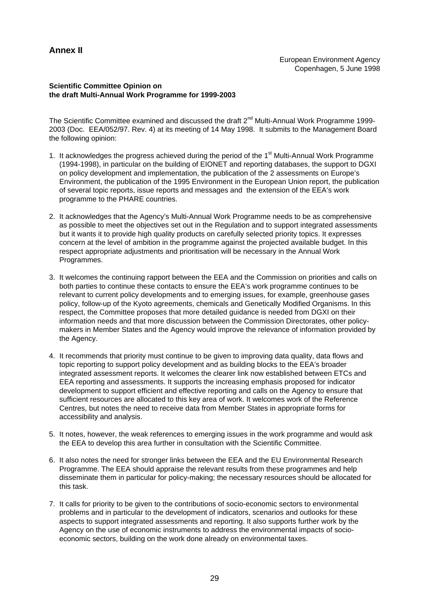# **Annex II**

#### **Scientific Committee Opinion on the draft Multi-Annual Work Programme for 1999-2003**

The Scientific Committee examined and discussed the draft  $2^{nd}$  Multi-Annual Work Programme 1999-2003 (Doc. EEA/052/97. Rev. 4) at its meeting of 14 May 1998. It submits to the Management Board the following opinion:

- 1. It acknowledges the progress achieved during the period of the 1<sup>st</sup> Multi-Annual Work Programme (1994-1998), in particular on the building of EIONET and reporting databases, the support to DGXI on policy development and implementation, the publication of the 2 assessments on Europe's Environment, the publication of the 1995 Environment in the European Union report, the publication of several topic reports, issue reports and messages and the extension of the EEA's work programme to the PHARE countries.
- 2. It acknowledges that the Agency's Multi-Annual Work Programme needs to be as comprehensive as possible to meet the objectives set out in the Regulation and to support integrated assessments but it wants it to provide high quality products on carefully selected priority topics. It expresses concern at the level of ambition in the programme against the projected available budget. In this respect appropriate adjustments and prioritisation will be necessary in the Annual Work Programmes.
- 3. It welcomes the continuing rapport between the EEA and the Commission on priorities and calls on both parties to continue these contacts to ensure the EEA's work programme continues to be relevant to current policy developments and to emerging issues, for example, greenhouse gases policy, follow-up of the Kyoto agreements, chemicals and Genetically Modified Organisms. In this respect, the Committee proposes that more detailed guidance is needed from DGXI on their information needs and that more discussion between the Commission Directorates, other policymakers in Member States and the Agency would improve the relevance of information provided by the Agency.
- 4. It recommends that priority must continue to be given to improving data quality, data flows and topic reporting to support policy development and as building blocks to the EEA's broader integrated assessment reports. It welcomes the clearer link now established between ETCs and EEA reporting and assessments. It supports the increasing emphasis proposed for indicator development to support efficient and effective reporting and calls on the Agency to ensure that sufficient resources are allocated to this key area of work. It welcomes work of the Reference Centres, but notes the need to receive data from Member States in appropriate forms for accessibility and analysis.
- 5. It notes, however, the weak references to emerging issues in the work programme and would ask the EEA to develop this area further in consultation with the Scientific Committee.
- 6. It also notes the need for stronger links between the EEA and the EU Environmental Research Programme. The EEA should appraise the relevant results from these programmes and help disseminate them in particular for policy-making; the necessary resources should be allocated for this task.
- 7. It calls for priority to be given to the contributions of socio-economic sectors to environmental problems and in particular to the development of indicators, scenarios and outlooks for these aspects to support integrated assessments and reporting. It also supports further work by the Agency on the use of economic instruments to address the environmental impacts of socioeconomic sectors, building on the work done already on environmental taxes.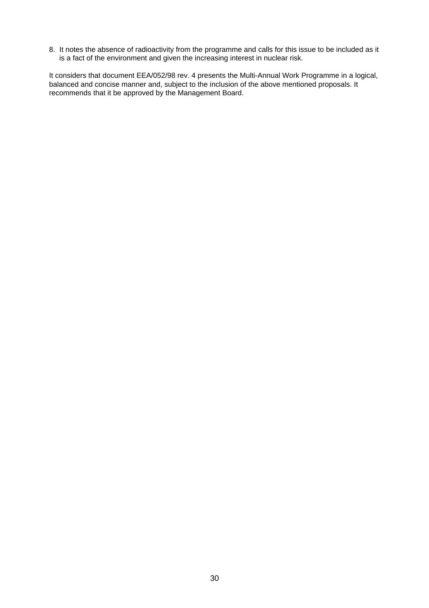8. It notes the absence of radioactivity from the programme and calls for this issue to be included as it is a fact of the environment and given the increasing interest in nuclear risk.

It considers that document EEA/052/98 rev. 4 presents the Multi-Annual Work Programme in a logical, balanced and concise manner and, subject to the inclusion of the above mentioned proposals. It recommends that it be approved by the Management Board.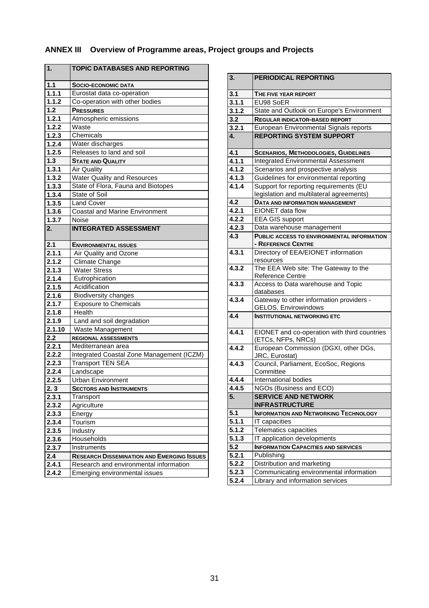# **ANNEX III Overview of Programme areas, Project groups and Projects**

| 1.     | <b>TOPIC DATABASES AND REPORTING</b>              |
|--------|---------------------------------------------------|
| 1.1    | <b>SOCIO-ECONOMIC DATA</b>                        |
| 1.1.1  | Eurostat data co-operation                        |
| 1.1.2  | Co-operation with other bodies                    |
| 1.2    | <b>PRESSURES</b>                                  |
| 1.2.1  | Atmospheric emissions                             |
| 1.2.2  | Waste                                             |
| 1.2.3  | Chemicals                                         |
| 1.2.4  | Water discharges                                  |
| 1.2.5  | Releases to land and soil                         |
| 1.3    | <b>STATE AND QUALITY</b>                          |
| 1.3.1  | <b>Air Quality</b>                                |
| 1.3.2  | <b>Water Quality and Resources</b>                |
| 1.3.3  | State of Flora, Fauna and Biotopes                |
| 1.3.4  | State of Soil                                     |
| 1.3.5  | <b>Land Cover</b>                                 |
| 1.3.6  | <b>Coastal and Marine Environment</b>             |
| 1.3.7  | Noise                                             |
| 2.     | <b>INTEGRATED ASSESSMENT</b>                      |
| 2.1    | <b>ENVIRONMENTAL ISSUES</b>                       |
| 2.1.1  | Air Quality and Ozone                             |
| 2.1.2  | <b>Climate Change</b>                             |
| 2.1.3  | <b>Water Stress</b>                               |
| 2.1.4  | Eutrophication                                    |
| 2.1.5  | Acidification                                     |
| 2.1.6  | <b>Biodiversity changes</b>                       |
| 2.1.7  | <b>Exposure to Chemicals</b>                      |
| 2.1.8  | Health                                            |
| 2.1.9  | Land and soil degradation                         |
| 2.1.10 | Waste Management                                  |
| 2.2    | <b>REGIONAL ASSESSMENTS</b>                       |
| 2.2.1  | Mediterranean area                                |
| 2.2.2  | Integrated Coastal Zone Management (ICZM)         |
| 2.2.3  | <b>Transport TEN SEA</b>                          |
| 2.2.4  | Landscape                                         |
| 2.2.5  | <b>Urban Environment</b>                          |
| 2.3    | <b>SECTORS AND INSTRUMENTS</b>                    |
| 2.3.1  | Transport                                         |
| 2.3.2  | Agriculture                                       |
| 2.3.3  | Energy                                            |
| 2.3.4  | Tourism                                           |
| 2.3.5  | Industry                                          |
| 2.3.6  | Households                                        |
| 2.3.7  | Instruments                                       |
| 2.4    | <b>RESEARCH DISSEMINATION AND EMERGING ISSUES</b> |
| 2.4.1  | Research and environmental information            |
| 2.4.2  | Emerging environmental issues                     |

| 3.    | <b>PERIODICAL REPORTING</b>                                                        |
|-------|------------------------------------------------------------------------------------|
| 3.1   | THE FIVE YEAR REPORT                                                               |
| 3.1.1 | EU98 SoER                                                                          |
| 3.1.2 | State and Outlook on Europe's Environment                                          |
| 3.2   | <b>REGULAR INDICATOR-BASED REPORT</b>                                              |
| 3.2.1 | European Environmental Signals reports                                             |
| 4.    | <b>REPORTING SYSTEM SUPPORT</b>                                                    |
| 4.1   | <b>SCENARIOS, METHODOLOGIES, GUIDELINES</b>                                        |
| 4.1.1 | <b>Integrated Environmental Assessment</b>                                         |
| 4.1.2 | Scenarios and prospective analysis                                                 |
| 4.1.3 | Guidelines for environmental reporting                                             |
| 4.1.4 | Support for reporting requirements (EU<br>legislation and multilateral agreements) |
| 4.2   | <b>DATA AND INFORMATION MANAGEMENT</b>                                             |
| 4.2.1 | EIONET data flow                                                                   |
| 4.2.2 | <b>EEA GIS support</b>                                                             |
| 4.2.3 | Data warehouse management                                                          |
| 4.3   | PUBLIC ACCESS TO ENVIRONMENTAL INFORMATION<br>- REFERENCE CENTRE                   |
| 4.3.1 | Directory of EEA/EIONET information<br>resources                                   |
| 4.3.2 | The EEA Web site: The Gateway to the<br><b>Reference Centre</b>                    |
| 4.3.3 | Access to Data warehouse and Topic<br>databases                                    |
| 4.3.4 | Gateway to other information providers -<br>GELOS, Envirowindows                   |
| 4.4   | <b>INSTITUTIONAL NETWORKING ETC</b>                                                |
| 4.4.1 | EIONET and co-operation with third countries<br>(ETCs, NFPs, NRCs)                 |
| 4.4.2 | European Commission (DGXI, other DGs,<br>JRC, Eurostat)                            |
| 4.4.3 | Council, Parliament, EcoSoc, Regions<br>Committee                                  |
| 4.4.4 | <b>International bodies</b>                                                        |
| 4.4.5 | NGOs (Business and ECO)                                                            |
| 5.    | <b>SERVICE AND NETWORK</b><br><b>INFRASTRUCTURE</b>                                |
| 5.1   | <b>INFORMATION AND NETWORKING TECHNOLOGY</b>                                       |
| 5.1.1 | IT capacities                                                                      |
| 5.1.2 | <b>Telematics capacities</b>                                                       |
| 5.1.3 | IT application developments                                                        |
| 5.2   | <b>INFORMATION CAPACITIES AND SERVICES</b>                                         |
| 5.2.1 | Publishing                                                                         |
| 5.2.2 | Distribution and marketing                                                         |
| 5.2.3 | Communicating environmental information                                            |
| 5.2.4 | Library and information services                                                   |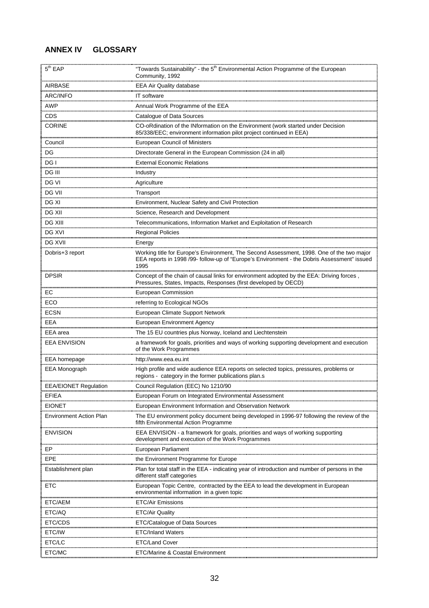# **ANNEX IV GLOSSARY**

| 5 <sup>th</sup> EAP            | "Towards Sustainability" - the 5 <sup>th</sup> Environmental Action Programme of the European<br>Community, 1992                                                                                 |
|--------------------------------|--------------------------------------------------------------------------------------------------------------------------------------------------------------------------------------------------|
| AIRBASE                        | <b>EEA Air Quality database</b>                                                                                                                                                                  |
| <b>ARC/INFO</b>                | IT software                                                                                                                                                                                      |
| <b>AWP</b>                     | Annual Work Programme of the EEA                                                                                                                                                                 |
| CDS                            | Catalogue of Data Sources                                                                                                                                                                        |
| <b>CORINE</b>                  | CO-oRdination of the INformation on the Environment (work started under Decision<br>85/338/EEC; environment information pilot project continued in EEA)                                          |
| Council                        | <b>European Council of Ministers</b>                                                                                                                                                             |
| DG                             | Directorate General in the European Commission (24 in all)                                                                                                                                       |
| DG I                           | <b>External Economic Relations</b>                                                                                                                                                               |
| DG III<br>.                    | Industry                                                                                                                                                                                         |
| DG VI                          | Agriculture                                                                                                                                                                                      |
| <b>DG VII</b>                  | Transport                                                                                                                                                                                        |
| DG XI                          | Environment, Nuclear Safety and Civil Protection                                                                                                                                                 |
| DG XII                         | Science, Research and Development                                                                                                                                                                |
| <b>DG XIII</b>                 | Telecommunications, Information Market and Exploitation of Research                                                                                                                              |
| <br>DG XVI                     | <b>Regional Policies</b>                                                                                                                                                                         |
| DG XVII                        | Energy                                                                                                                                                                                           |
| Dobris+3 report                | Working title for Europe's Environment, The Second Assessment, 1998. One of the two major<br>EEA reports in 1998 /99- follow-up of "Europe's Environment - the Dobris Assessment" issued<br>1995 |
| <b>DPSIR</b>                   | Concept of the chain of causal links for environment adopted by the EEA: Driving forces,<br>Pressures, States, Impacts, Responses (first developed by OECD)                                      |
| ЕC                             | <b>European Commission</b>                                                                                                                                                                       |
| ECO                            | referring to Ecological NGOs                                                                                                                                                                     |
| <b>ECSN</b>                    | European Climate Support Network                                                                                                                                                                 |
| <b>EEA</b>                     | <b>European Environment Agency</b>                                                                                                                                                               |
| EEA area                       | The 15 EU countries plus Norway, Iceland and Liechtenstein                                                                                                                                       |
| <b>EEA ENVISION</b>            | a framework for goals, priorities and ways of working supporting development and execution<br>of the Work Programmes                                                                             |
| EEA homepage                   | http://www.eea.eu.int                                                                                                                                                                            |
| <b>EEA Monograph</b>           | High profile and wide audience EEA reports on selected topics, pressures, problems or<br>regions - category in the former publications plan.s                                                    |
| <b>EEA/EIONET Regulation</b>   | Council Regulation (EEC) No 1210/90                                                                                                                                                              |
| <b>EFIEA</b>                   | European Forum on Integrated Environmental Assessment                                                                                                                                            |
| EIONET                         | European Environment Information and Observation Network                                                                                                                                         |
| <b>Environment Action Plan</b> | The EU environment policy document being developed in 1996-97 following the review of the<br>fifth Environmental Action Programme                                                                |
| <b>ENVISION</b>                | EEA ENVISION - a framework for goals, priorities and ways of working supporting<br>development and execution of the Work Programmes                                                              |
| FP                             | European Parliament                                                                                                                                                                              |
| EPE                            | the Environment Programme for Europe                                                                                                                                                             |
| Establishment plan             | Plan for total staff in the EEA - indicating year of introduction and number of persons in the<br>different staff categories                                                                     |
| ETC                            | European Topic Centre, contracted by the EEA to lead the development in European<br>environmental information in a given topic                                                                   |
| ETC/AEM                        | <b>ETC/Air Emissions</b>                                                                                                                                                                         |
| ETC/AQ                         | <b>ETC/Air Quality</b>                                                                                                                                                                           |
| ETC/CDS                        | ETC/Catalogue of Data Sources                                                                                                                                                                    |
| ETC/IW                         | ETC/Inland Waters                                                                                                                                                                                |
| ETC/LC                         | <b>ETC/Land Cover</b>                                                                                                                                                                            |
| ETC/MC                         | ETC/Marine & Coastal Environment                                                                                                                                                                 |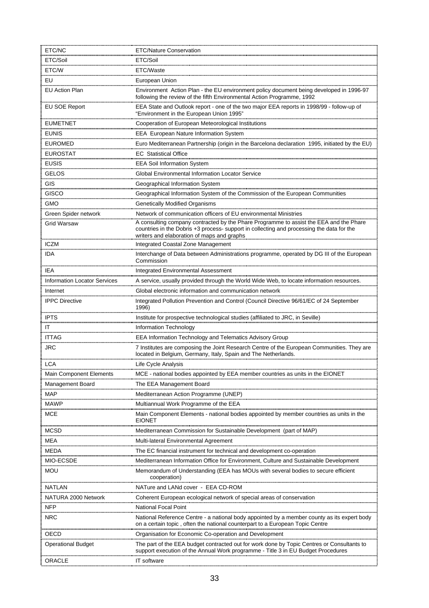| ETC/NC                              | <b>ETC/Nature Conservation</b>                                                                                                                                                                                                    |
|-------------------------------------|-----------------------------------------------------------------------------------------------------------------------------------------------------------------------------------------------------------------------------------|
| ETC/Soil                            | ETC/Soil                                                                                                                                                                                                                          |
| ETC/W                               | ETC/Waste                                                                                                                                                                                                                         |
| EU                                  | European Union                                                                                                                                                                                                                    |
| <b>EU Action Plan</b>               | Environment Action Plan - the EU environment policy document being developed in 1996-97<br>following the review of the fifth Environmental Action Programme, 1992                                                                 |
| EU SOE Report                       | EEA State and Outlook report - one of the two major EEA reports in 1998/99 - follow-up of<br>"Environment in the European Union 1995"                                                                                             |
| <b>EUMETNET</b>                     | Cooperation of European Meteorological Institutions                                                                                                                                                                               |
| <b>EUNIS</b>                        | EEA European Nature Information System                                                                                                                                                                                            |
| <b>EUROMED</b>                      | Euro Mediterranean Partnership (origin in the Barcelona declaration 1995, initiated by the EU)                                                                                                                                    |
| <b>EUROSTAT</b>                     | <b>EC</b> Statistical Office                                                                                                                                                                                                      |
| <b>EUSIS</b>                        | <b>EEA Soil Information System</b>                                                                                                                                                                                                |
| <b>GELOS</b>                        | Global Environmental Information Locator Service                                                                                                                                                                                  |
| GIS                                 | Geographical Information System                                                                                                                                                                                                   |
| <b>GISCO</b>                        | Geographical Information System of the Commission of the European Communities                                                                                                                                                     |
| <br>GMO                             | Genetically Modified Organisms                                                                                                                                                                                                    |
| Green Spider network                | Network of communication officers of EU environmental Ministries                                                                                                                                                                  |
| <b>Grid Warsaw</b>                  | A consulting company contracted by the Phare Programme to assist the EEA and the Phare<br>countries in the Dobris +3 process- support in collecting and processing the data for the<br>writers and elaboration of maps and graphs |
| <b>ICZM</b>                         | Integrated Coastal Zone Management                                                                                                                                                                                                |
| IDA                                 | Interchange of Data between Administrations programme, operated by DG III of the European<br>Commission                                                                                                                           |
| IEA                                 | <b>Integrated Environmental Assessment</b>                                                                                                                                                                                        |
| <b>Information Locator Services</b> | A service, usually provided through the World Wide Web, to locate information resources.                                                                                                                                          |
| Internet                            | Global electronic information and communication network                                                                                                                                                                           |
| <b>IPPC Directive</b>               | Integrated Pollution Prevention and Control (Council Directive 96/61/EC of 24 September<br>1996)                                                                                                                                  |
| <b>IPTS</b>                         | Institute for prospective technological studies (affiliated to JRC, in Seville)                                                                                                                                                   |
| ΙT                                  | Information Technology                                                                                                                                                                                                            |
| <b>ITTAG</b>                        | <b>EEA Information Technology and Telematics Advisory Group</b>                                                                                                                                                                   |
| <b>JRC</b>                          | 7 Institutes are composing the Joint Research Centre of the European Communities. They are<br>located in Belgium, Germany, Italy, Spain and The Netherlands.                                                                      |
| <b>LCA</b>                          | Life Cycle Analysis                                                                                                                                                                                                               |
| Main Component Elements             | MCE - national bodies appointed by EEA member countries as units in the EIONET                                                                                                                                                    |
| Management Board                    | The EEA Management Board                                                                                                                                                                                                          |
| <b>MAP</b>                          | Mediterranean Action Programme (UNEP                                                                                                                                                                                              |
| <b>MAWP</b>                         | Multiannual Work Programme of the EEA                                                                                                                                                                                             |
| <b>MCE</b>                          | Main Component Elements - national bodies appointed by member countries as units in the<br><b>EIONET</b>                                                                                                                          |
| <b>MCSD</b>                         | Mediterranean Commission for Sustainable Development (part of MAP)                                                                                                                                                                |
| MEA                                 | Multi-lateral Environmental Agreement                                                                                                                                                                                             |
| MEDA                                | The EC financial instrument for technical and development co-operation                                                                                                                                                            |
| MIO-ECSDE                           | Mediterranean Information Office for Environment, Culture and Sustainable Development                                                                                                                                             |
| <b>MOU</b>                          | Memorandum of Understanding (EEA has MOUs with several bodies to secure efficient<br>cooperation)                                                                                                                                 |
| NATLAN                              | NATure and LANd cover - EEA CD-ROM                                                                                                                                                                                                |
| NATURA 2000 Network                 | Coherent European ecological network of special areas of conservation                                                                                                                                                             |
| <b>NFP</b>                          | National Focal Point                                                                                                                                                                                                              |
| <b>NRC</b>                          | National Reference Centre - a national body appointed by a member county as its expert body<br>on a certain topic, often the national counterpart to a European Topic Centre                                                      |
| OECD                                | Organisation for Economic Co-operation and Development                                                                                                                                                                            |
| <b>Operational Budget</b>           | The part of the EEA budget contracted out for work done by Topic Centres or Consultants to<br>support execution of the Annual Work programme - Title 3 in EU Budget Procedures                                                    |
| ORACLE                              | IT software                                                                                                                                                                                                                       |